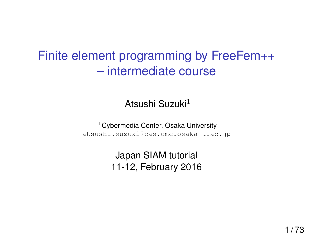# Finite element programming by FreeFem++ – intermediate course

# Atsushi Suzuki<sup>1</sup>

<sup>1</sup> Cybermedia Center, Osaka University atsushi.suzuki@cas.cmc.osaka-u.ac.jp

> Japan SIAM tutorial 11-12, February 2016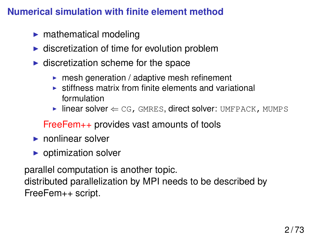# **Numerical simulation with finite element method**

- $\blacktriangleright$  mathematical modeling
- $\triangleright$  discretization of time for evolution problem
- $\blacktriangleright$  discretization scheme for the space
	- $\triangleright$  mesh generation / adaptive mesh refinement
	- $\triangleright$  stiffness matrix from finite elements and variational formulation
	- $\blacktriangleright$  linear solver  $\Leftarrow$  CG, GMRES, direct solver: UMFPACK, MUMPS

# FreeFem++ provides vast amounts of tools

- $\blacktriangleright$  nonlinear solver
- $\triangleright$  optimization solver

parallel computation is another topic. distributed parallelization by MPI needs to be described by FreeFem++ script.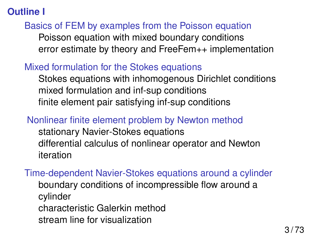# **Outline I**

# [Basics of FEM by examples from the Poisson equation](#page-4-0) [Poisson equation with mixed boundary conditions](#page-4-0) [error estimate by theory and FreeFem++ implementation](#page-13-0)

# [Mixed formulation for the Stokes equations](#page-24-0)

[Stokes equations with inhomogenous Dirichlet conditions](#page-24-0) [mixed formulation and inf-sup conditions](#page-27-0) [finite element pair satisfying inf-sup conditions](#page-28-0)

[Nonlinear finite element problem by Newton method](#page-36-0) [stationary Navier-Stokes equations](#page-36-0) [differential calculus of nonlinear operator and Newton](#page-38-0) [iteration](#page-38-0)

[Time-dependent Navier-Stokes equations around a cylinder](#page-43-0) [boundary conditions of incompressible flow around a](#page-44-0) [cylinder](#page-44-0) [characteristic Galerkin method](#page-46-0) [stream line for visualization](#page-51-0)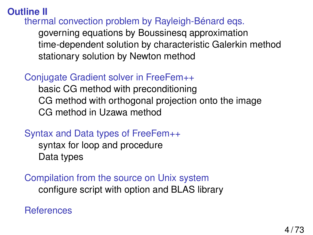# **Outline II**

[thermal convection problem by Rayleigh-Bénard eqs.](#page-52-0)

[governing equations by Boussinesq approximation](#page-52-0) [time-dependent solution by characteristic Galerkin method](#page-54-0) [stationary solution by Newton method](#page-55-0)

# [Conjugate Gradient solver in FreeFem++](#page-56-0)

[basic CG method with preconditioning](#page-57-0) [CG method with orthogonal projection onto the image](#page-59-0) [CG method in Uzawa method](#page-61-0)

# [Syntax and Data types of FreeFem++](#page-65-0)

[syntax for loop and procedure](#page-65-0) [Data types](#page-66-0)

[Compilation from the source on Unix system](#page-68-0) [configure script with option and BLAS library](#page-68-0)

**[References](#page-70-0)**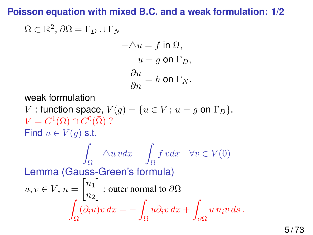# <span id="page-4-0"></span>**Poisson equation with mixed B.C. and a weak formulation: 1/2**

$$
\Omega \subset \mathbb{R}^2, \, \partial\Omega = \Gamma_D \cup \Gamma_N
$$
\n
$$
-\Delta u = f \text{ in } \Omega,
$$
\n
$$
u = g \text{ on } \Gamma_D,
$$
\n
$$
\frac{\partial u}{\partial n} = h \text{ on } \Gamma_N.
$$
\nweak formulation\n
$$
V: \text{function space, } V(g) = \{u \in V; u = g \text{ on } \Gamma_D\}.
$$
\n
$$
V = C^1(\Omega) \cap C^0(\bar{\Omega}) ?
$$
\nFind  $u \in V(g)$  s.t.\n
$$
\int_{\Omega} -\Delta u \, v dx = \int_{\Omega} f \, v dx \quad \forall v \in V(0)
$$
\nLemma (Gauss-Green's formula)\n
$$
u, v \in V, n = \begin{bmatrix} n_1 \\ n_2 \end{bmatrix}: \text{outer normal to } \partial\Omega
$$
\n
$$
\int_{\Omega} (\partial_i u) v \, dx = -\int_{\Omega} u \partial_i v \, dx + \int_{\partial\Omega} u \, n_i v \, ds \, .
$$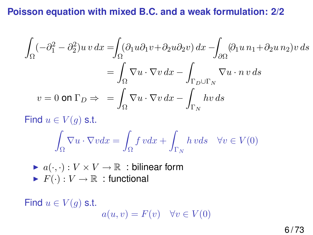## **Poisson equation with mixed B.C. and a weak formulation: 2/2**

$$
\int_{\Omega} (-\partial_1^2 - \partial_2^2) u v \, dx = \int_{\Omega} (\partial_1 u \partial_1 v + \partial_2 u \partial_2 v) \, dx - \int_{\partial \Omega} (\partial_1 u \, n_1 + \partial_2 u \, n_2) v \, ds
$$

$$
= \int_{\Omega} \nabla u \cdot \nabla v \, dx - \int_{\Gamma_D \cup \Gamma_N} \nabla u \cdot n \, v \, ds
$$

$$
v = 0 \text{ on } \Gamma_D \Rightarrow = \int_{\Omega} \nabla u \cdot \nabla v \, dx - \int_{\Gamma_N} hv \, ds
$$

Find  $u \in V(g)$  s.t.

$$
\int_{\Omega} \nabla u \cdot \nabla v dx = \int_{\Omega} f v dx + \int_{\Gamma_N} h v ds \quad \forall v \in V(0)
$$

\n- $$
a(\cdot, \cdot): V \times V \to \mathbb{R}
$$
: bilinear form
\n- $F(\cdot): V \to \mathbb{R}$ : functional
\n

Find  $u \in V(g)$  s.t.  $a(u, v) = F(v) \quad \forall v \in V(0)$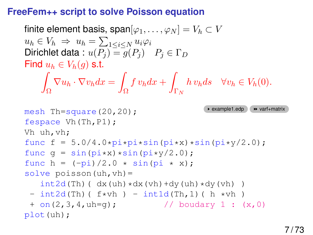### **FreeFem++ script to solve Poisson equation**

```
finite element basis, span[\varphi_1, \ldots, \varphi_N] = V_h \subset Vu_h \in V_h \Rightarrow u_h = \sum_{1 \leq i \leq N} u_i \varphi_iDirichlet data : u(P_i) = q(P_i) P_i \in \Gamma_DFind u_h \in V_h(q) s.t.
    Z
     Ω
       \nabla u_h \cdot \nabla v_h dx =Ω
                           \int v_h dx +\Gamma_Nh v_h ds \quad \forall v_h \in V_h(0).example1.edp varf+matrix mesh Th=square(20,20);
fespace Vh(Th,P1);
Vh uh,vh;
func f = 5.0/4.0*pi*sin(pix)x sin(pix)/2.0;func q = sin(pix) * sin(pix)/2.0;
func h = (-pi)/2.0 * sin(pi * x);solve poisson(uh, vh) =int2d(Th) (dx(uh) \star dx(vh) +dy(uh) \star dy(vh) )
 - int2d(Th)( f*vh) - int1d(Th,1)( h *vh)
 + on(2,3,4, uh=q); // boudary 1 : (x,0)
plot(uh);
```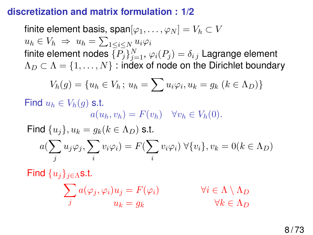### **discretization and matrix formulation : 1/2**

finite element basis, span $[\varphi_1, \ldots, \varphi_N] = V_h \subset V$  $u_h \in V_h \Rightarrow u_h = \sum_{1 \leq i \leq N} u_i \varphi_i$ finite element nodes  $\{P_j\}_{j=1}^N,$   $\varphi_i(P_j)=\delta_{i\,j}$  Lagrange element  $\Lambda_D \subset \Lambda = \{1, \ldots, N\}$ : index of node on the Dirichlet boundary

$$
V_h(g) = \{u_h \in V_h \, ; \, u_h = \sum u_i \varphi_i, u_k = g_k \ (k \in \Lambda_D)\}
$$

Find  $u_h \in V_h(q)$  s.t.  $a(u_h, v_h) = F(v_h)$   $\forall v_h \in V_h(0)$ .

Find  $\{u_i\}, u_k = g_k (k \in \Lambda_D)$  s.t.  $a(\sum)$ j  $u_j \varphi_j, \sum$ i  $v_i\varphi_i)=F(\sum$ i  $v_i\varphi_i) \ \forall \{v_i\}, v_k = 0 (k \in \Lambda_D)$ 

Find  $\{u_i\}_{i\in\Lambda}$ s.t.

$$
\sum_{j} a(\varphi_j, \varphi_i) u_j = F(\varphi_i) \qquad \forall i \in \Lambda \setminus \Lambda_D
$$
  

$$
u_k = g_k \qquad \forall k \in \Lambda_D
$$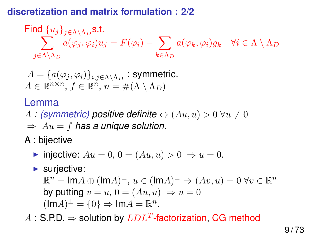# **discretization and matrix formulation : 2/2**

Find 
$$
\{u_j\}_{j \in \Lambda \setminus \Lambda_D}
$$
**s.t.**  

$$
\sum_{j \in \Lambda \setminus \Lambda_D} a(\varphi_j, \varphi_i) u_j = F(\varphi_i) - \sum_{k \in \Lambda_D} a(\varphi_k, \varphi_i) g_k \quad \forall i \in \Lambda \setminus \Lambda_D
$$

$$
A = \{a(\varphi_j, \varphi_i)\}_{i,j \in \Lambda \setminus \Lambda_D} : \text{symmetric.}
$$
  

$$
A \in \mathbb{R}^{n \times n}, f \in \mathbb{R}^n, n = \#(\Lambda \setminus \Lambda_D)
$$

# Lemma

A *:* (symmetric) positive definite  $\Leftrightarrow (Au, u) > 0 \ \forall u \neq 0$ 

 $\Rightarrow$   $Au = f$  has a unique solution.

A : bijective

- $\triangleright$  injective:  $Au = 0$ ,  $0 = (Au, u) > 0 \Rightarrow u = 0$ .
- $\blacktriangleright$  surjective:

 $\mathbb{R}^n = \mathsf{Im} A \oplus (\mathsf{Im} A)^{\perp}, u \in (\mathsf{Im} A)^{\perp} \Rightarrow (Av, u) = 0 \,\forall v \in \mathbb{R}^n$ by putting  $v = u$ ,  $0 = (Au, u) \Rightarrow u = 0$  $(\text{Im}A)^{\perp} = \{0\} \Rightarrow \text{Im}A = \mathbb{R}^n.$ 

 $A:$  S.P.D.  $\Rightarrow$  solution by  $LDL^T$ -factorization, CG method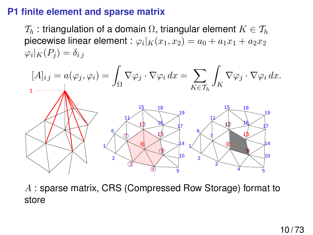## **P1 finite element and sparse matrix**

 $\mathcal{T}_h$ : triangulation of a domain  $\Omega$ , triangular element  $K \in \mathcal{T}_h$ piecewise linear element :  $\varphi_i|_K(x_1,x_2)=a_0+a_1x_1+a_2x_2$  $\varphi_i|_K(P_j) = \delta_{i,j}$ 



A : sparse matrix, CRS (Compressed Row Storage) format to store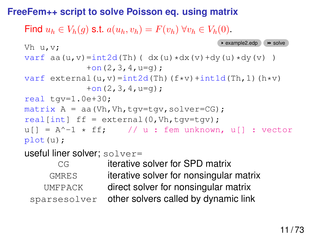## **FreeFem++ script to solve Poisson eq. using matrix**

Find  $u_h \in V_h(q)$  s.t.  $a(u_h, v_h) = F(v_h)$   $\forall v_h \in V_h(0)$ .

```
Vh u, v; \longrightarrow example2.edp \longrightarrowsolve
varf aa(u,v)=int2d(Th)( dx(u)*dx(v)+dy(u)*dy(v) )
             +on(2,3,4,u=q);
varf external(u, v)=int2d(Th)(f*v)+int1d(Th,1)(h*v)
             +on(2,3,4, u=q);real tgv=1.0e+30;
matrix A = aa(Vh, Vh, tqv=tqv, solver=CG);real[int] ff = external(0, Vh, tqv=tqv);u[] = A^{\wedge} - 1 * ff; // u : fem unknown, u[] : vector
plot(u);
```
useful liner solver; solver=

CG iterative solver for SPD matrix GMRES iterative solver for nonsingular matrix UMFPACK direct solver for nonsingular matrix sparsesolver other solvers called by dynamic link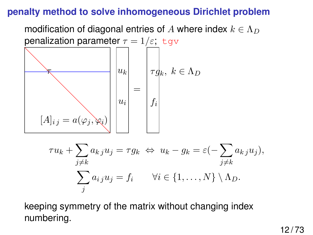### **penalty method to solve inhomogeneous Dirichlet problem**

modification of diagonal entries of A where index  $k \in \Lambda_D$ penalization parameter  $\tau = 1/\varepsilon$ ; tgv τ  $u_k$  $\tau g_k, \; k \in \Lambda_D$ 

=

ui

 $[A]_{i j} = a(\varphi_j, \varphi_i)$ 

$$
\tau u_k + \sum_{j \neq k} a_{kj} u_j = \tau g_k \iff u_k - g_k = \varepsilon \left(-\sum_{j \neq k} a_{kj} u_j\right),
$$

$$
\sum_j a_{ij} u_j = f_i \qquad \forall i \in \{1, ..., N\} \setminus \Lambda_D.
$$

 $f_i$ 

keeping symmetry of the matrix without changing index numbering.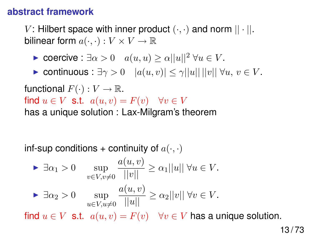### **abstract framework**

V: Hilbert space with inner product  $(\cdot, \cdot)$  and norm  $|| \cdot ||$ . bilinear form  $a(\cdot, \cdot): V \times V \to \mathbb{R}$ 

- ► coercive :  $\exists \alpha > 0$   $a(u, u) \ge \alpha ||u||^2 \ \forall u \in V$ .
- ► continuous :  $\exists \gamma > 0$   $|a(u, v)| \leq \gamma ||u|| ||v|| \forall u, v \in V$ .

functional  $F(\cdot): V \to \mathbb{R}$ . find  $u \in V$  s.t.  $a(u, v) = F(v)$   $\forall v \in V$ has a unique solution : Lax-Milgram's theorem

inf-sup conditions + continuity of  $a(\cdot, \cdot)$ 

$$
\begin{aligned}\n\blacktriangleright & \exists \alpha_1 > 0 & \sup_{v \in V, v \neq 0} \frac{a(u, v)}{||v||} \ge \alpha_1 ||u|| \; \forall u \in V. \\
\blacktriangleright & \exists \alpha_2 > 0 & \sup_{u \in V, u \neq 0} \frac{a(u, v)}{||u||} \ge \alpha_2 ||v|| \; \forall v \in V.\n\end{aligned}
$$

find  $u \in V$  s.t.  $a(u, v) = F(v)$   $\forall v \in V$  has a unique solution.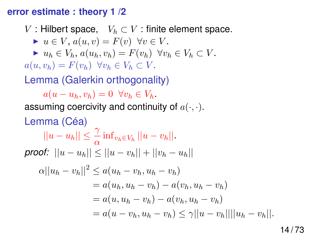#### <span id="page-13-0"></span>**error estimate : theory 1 /2**

V : Hilbert space,  $V_h \subset V$  : finite element space.

$$
\blacktriangleright u \in V, a(u, v) = F(v) \ \forall v \in V.
$$

 $\blacktriangleright u_h \in V_h$ ,  $a(u_h, v_h) = F(v_h) \ \ \forall v_h \in V_h \subset V$ .

 $a(u, v_h) = F(v_h) \ \ \forall v_h \in V_h \subset V.$ 

Lemma (Galerkin orthogonality)

 $a(u - u_h, v_h) = 0 \ \ \forall v_h \in V_h$ . assuming coercivity and continuity of  $a(\cdot, \cdot)$ .

Lemma (Céa)  $||u - u_h|| \leq \frac{\gamma}{\alpha} \inf_{v_h \in V_h} ||u - v_h||.$ *proof:*  $||u - u_h|| \le ||u - v_h|| + ||v_h - u_h||$  $\alpha ||u_h - v_h||^2 \leq a(u_h - v_h, u_h - v_h)$  $= a(u_h, u_h - v_h) - a(v_h, u_h - v_h)$  $= a(u, u_h - v_h) - a(v_h, u_h - v_h)$  $= a(u - v_h, u_h - v_h) \leq \gamma ||u - v_h|| ||u_h - v_h||.$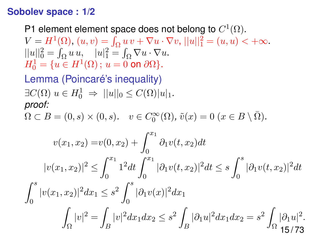#### **Sobolev space : 1/2**

P1 element element space does not belong to  $C^1(\Omega).$ 

 $V = H^{1}(\Omega)$ ,  $(u, v) = \int_{\Omega} u v + \nabla u \cdot \nabla v$ ,  $||u||_{1}^{2} = (u, u) < +\infty$ .  $||u||_0^2 = \int_{\Omega} u u, \quad |u|_1^2 = \int_{\Omega} \nabla u \cdot \nabla u.$  $H_0^1 = \{u \in H^1(\Omega) \, ; \, u = 0 \text{ on } \partial\Omega\}.$ 

Lemma (Poincaré's inequality)  $\exists C(\Omega) \ u \in H_0^1 \Rightarrow ||u||_0 \leq C(\Omega) |u|_1.$ *proof:*

 $\Omega \subset B = (0, s) \times (0, s)$ *.*  $v \in C_0^{\infty}(\Omega)$ ,  $\tilde{v}(x) = 0$   $(x \in B \setminus \overline{\Omega})$ *.* 

$$
v(x_1, x_2) = v(0, x_2) + \int_0^{x_1} \partial_1 v(t, x_2) dt
$$
  
\n
$$
|v(x_1, x_2)|^2 \le \int_0^{x_1} 1^2 dt \int_0^{x_1} |\partial_1 v(t, x_2)|^2 dt \le s \int_0^s |\partial_1 v(t, x_2)|^2 dt
$$
  
\n
$$
\int_0^s |v(x_1, x_2)|^2 dx_1 \le s^2 \int_0^s |\partial_1 v(x)|^2 dx_1
$$
  
\n
$$
\int_{\Omega} |v|^2 = \int_B |v|^2 dx_1 dx_2 \le s^2 \int_B |\partial_1 u|^2 dx_1 dx_2 = s^2 \int_{\Omega} |\partial_1 u|^2.
$$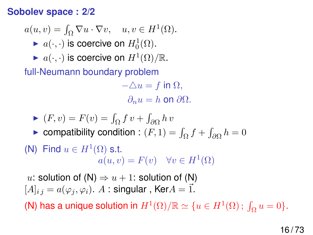#### **Sobolev space : 2/2**

$$
a(u, v) = \int_{\Omega} \nabla u \cdot \nabla v, \quad u, v \in H^{1}(\Omega).
$$

- $\blacktriangleright$   $a(\cdot, \cdot)$  is coercive on  $H_0^1(\Omega)$ .
- $\blacktriangleright$   $a(\cdot, \cdot)$  is coercive on  $H^1(\Omega)/\mathbb{R}$ .

full-Neumann boundary problem

 $-\Delta u = f$  in  $\Omega$ ,  $\partial_n u = h$  on  $\partial \Omega$ .

$$
\blacktriangleright (F, v) = F(v) = \int_{\Omega} f v + \int_{\partial \Omega} h v
$$

► compatibility condition :  $(F, 1) = \int_{\Omega} f + \int_{\partial \Omega} h = 0$ 

(N) Find  $u \in H^1(\Omega)$  s.t.  $a(u, v) = F(v) \quad \forall v \in H^1(\Omega)$ 

u: solution of  $(N) \Rightarrow u + 1$ : solution of  $(N)$  $[A]_{i j} = a(\varphi_i, \varphi_i)$ . A : singular, Ker $A = \vec{1}$ .

(N) has a unique solution in  $H^1(\Omega)/\mathbb{R} \simeq \{u \in H^1(\Omega) \, ; \, \int_{\Omega} u = 0\}.$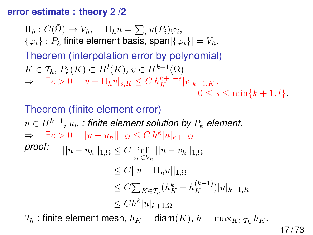#### **error estimate : theory 2 /2**

 $\Pi_h: C(\bar{\Omega}) \to V_h, \quad \Pi_h u = \sum_i u(P_i)\varphi_i,$  $\{\varphi_i\}$ :  $P_k$  finite element basis, span $[\{\varphi_i\}] = V_h$ . Theorem (interpolation error by polynomial)  $K \in \mathcal{T}_h$ ,  $P_k(K) \subset H^l(K)$ ,  $v \in H^{k+1}(\Omega)$ ⇒  $\exists c > 0$   $|v - \Pi_h v|_{s,K} \leq C h_K^{k+1-s} |v|_{k+1,K}$  $0 \leq s \leq \min\{k+1, l\}.$ 

Theorem (finite element error)  $u \in H^{k+1}, \, u_h$  : finite element solution by  $P_k$  element.  $\Rightarrow \quad \exists c > 0 \quad ||u - u_h||_{1,\Omega} \leq C h^k |u|_{k+1,\Omega}$  $\textit{proof:} \quad ||u - u_h||_{1,\Omega} \leq C \inf_{v_h \in V_h} ||u - v_h||_{1,\Omega}$  $\leq C||u - \prod_h u||_1$  $\leq C \sum_{K \in \mathcal{T}_h} (h_K^k + h_K^{(k+1)}) |u|_{k+1,K}$  $\leq Ch^k|u|_{k+1,\Omega}$ 

 $\mathcal{T}_h$ : finite element mesh,  $h_K = \text{diam}(K)$ ,  $h = \max_{K \in \mathcal{T}_h} h_K$ .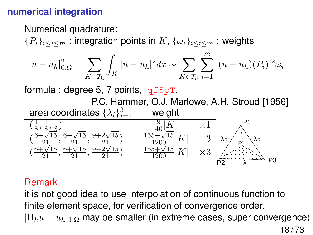# **numerical integration**

Numerical quadrature:

 ${P_i}_{i\leq i\leq m}$  : integration points in  $K, \{\omega_i\}_{i\leq i\leq m}$  : weights

$$
|u - u_h|_{0,\Omega}^2 = \sum_{K \in \mathcal{T}_h} \int_K |u - u_h|^2 dx \sim \sum_{K \in \mathcal{T}_h} \sum_{i=1}^m |(u - u_h)(P_i)|^2 \omega_i
$$

formula : degree 5, 7 points,  $qf5pT$ ,



#### Remark

it is not good idea to use interpolation of continuous function to finite element space, for verification of convergence order.  $|\Pi_h u - u_h|_{1,\Omega}$  may be smaller (in extreme cases, super convergence)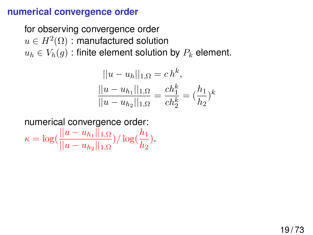#### **numerical convergence order**

for observing convergence order  $u\in H^2(\Omega)$  : manufactured solution  $u_h \in V_h(g)$ : finite element solution by  $P_k$  element.

$$
||u - u_h||_{1,\Omega} = ch^k,
$$
  

$$
\frac{||u - u_{h_1}||_{1,\Omega}}{||u - u_{h_2}||_{1,\Omega}} = \frac{ch_1^k}{ch_2^k} = (\frac{h_1}{h_2})^k
$$

numerical convergence order:

 $\kappa = \log(\frac{||u - u_{h_1}||_{1,\Omega}}{||}$  $||u-u_{h_2}||_{1,\Omega}$ )/ $\log(\frac{h_1}{h_1})$  $\frac{n_1}{h_2}$ ).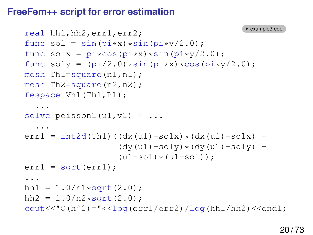#### **FreeFem++ script for error estimation**

```
real hh1,hh2,err1,err2;
func sol = sin(pix) * sin(pixy/2.0);
func solx = pi*cos(pix)*sin(pix)/2.0;
func soly = pi/2.0) *sin(pi*x) *cos(pi*y/2.0);
mesh Th1=square(n1,n1);
mesh Th2=square(n2,n2);
fespace Vh1(Th1,P1);
  ...
solve poisson1(ul,vl) = ......
err1 = int2d(Th1)((dx(u1) - solx) * (dx(u1) - solx) +(dv(u1)-soly)*(dv(u1)-soly) +(u1-sol)*(u1-sol);
err1 = sqrt(err1);...
hh1 = 1.0/n1*sqrt(2.0);
hh2 = 1.0/n2*sqrt(2.0);
\text{cout}<<"0(h^2)="<<\log(\text{err1/err2})/\log(\text{h1}/\text{h2})<<\text{end1};
```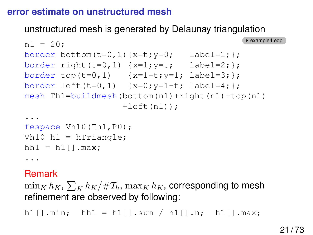### **error estimate on unstructured mesh**

### unstructured mesh is generated by Delaunay triangulation

```
nl = 20;border bottom(t=0,1){x=t; y=0; label=1;};
border right(t=0,1) {x=1;y=t; label=2; };
border top(t=0,1) {x=1-t; y=1; label=3; };
border left(t=0,1) {x=0; y=1-t; label=4; };
mesh Th1=buildmesh(bottom(n1)+right(n1)+top(n1)
                +left(n1);
...
```

```
fespace Vh10(Th1,P0);
Vh10 h1 = hTriangle;
hh1 = h1[].max;
...
```
### Remark

 $\min_K h_K, \sum_K h_K/\#\mathcal{T}_h, \max_K h_K,$  corresponding to mesh refinement are observed by following:

h1 $[$ ].min; hh1 = h1 $[$ ].sum / h1 $[$ ].n; h1 $[$ ].max;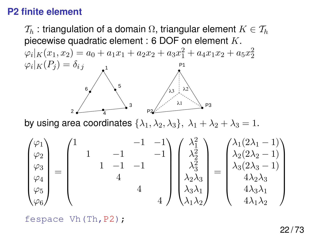# **P2 finite element**

 $\mathcal{T}_h$ : triangulation of a domain  $\Omega$ , triangular element  $K \in \mathcal{T}_h$ piecewise quadratic element : 6 DOF on element  $K$ .

 $\varphi_i|_K(x_1, x_2) = a_0 + a_1x_1 + a_2x_2 + a_3x_1^2 + a_4x_1x_2 + a_5x_2^2$  $\varphi_i|_K(P_j)=\delta_{i\,j}$ 1 3  $2$   $4$  $6$   $\sqrt{5}$ P3 P2 P1 λ1 λ2 λ3

by using area coordinates  $\{\lambda_1, \lambda_2, \lambda_3\}, \lambda_1 + \lambda_2 + \lambda_3 = 1$ .

$$
\begin{pmatrix} \varphi_1 \\ \varphi_2 \\ \varphi_3 \\ \varphi_4 \\ \varphi_5 \\ \varphi_6 \end{pmatrix} = \begin{pmatrix} 1 & & & & -1 & -1 \\ & 1 & & & -1 & -1 \\ & & 1 & -1 & -1 & \\ & & & 4 & \\ & & & & 4 & \\ & & & & 4 & \\ & & & & & 4 \end{pmatrix} \begin{pmatrix} \lambda_1^2 \\ \lambda_2^2 \\ \lambda_3^2 \\ \lambda_4^2 \\ \lambda_3 \lambda_1 \\ \lambda_1 \lambda_2 \end{pmatrix} = \begin{pmatrix} \lambda_1(2\lambda_1 - 1) \\ \lambda_2(2\lambda_2 - 1) \\ \lambda_3(2\lambda_3 - 1) \\ \lambda_4 \lambda_2 \lambda_3 \\ \lambda_3 \lambda_1 \\ \lambda_1 \lambda_2 \end{pmatrix}
$$

fespace Vh(Th,P2);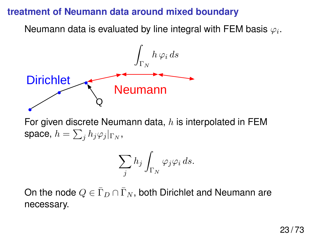### **treatment of Neumann data around mixed boundary**

Neumann data is evaluated by line integral with FEM basis  $\varphi_i.$ 



For given discrete Neumann data,  $h$  is interpolated in FEM space,  $h=\sum_j h_j\varphi_j|_{\Gamma_N},$ 

$$
\sum_j h_j \int_{\Gamma_N} \varphi_j \varphi_i \, ds.
$$

On the node  $Q \in \overline{\Gamma}_D \cap \overline{\Gamma}_N$ , both Dirichlet and Neumann are necessary.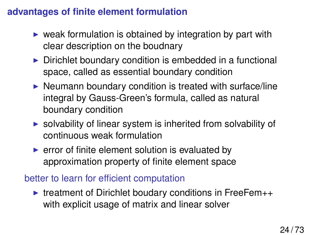# **advantages of finite element formulation**

- $\triangleright$  weak formulation is obtained by integration by part with clear description on the boudnary
- $\triangleright$  Dirichlet boundary condition is embedded in a functional space, called as essential boundary condition
- $\triangleright$  Neumann boundary condition is treated with surface/line integral by Gauss-Green's formula, called as natural boundary condition
- $\triangleright$  solvability of linear system is inherited from solvability of continuous weak formulation
- $\triangleright$  error of finite element solution is evaluated by approximation property of finite element space

#### better to learn for efficient computation

 $\triangleright$  treatment of Dirichlet boudary conditions in FreeFem $++$ with explicit usage of matrix and linear solver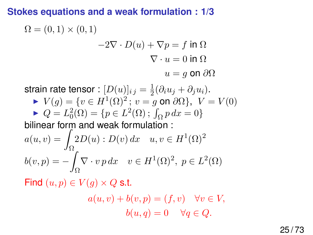## <span id="page-24-0"></span>**Stokes equations and a weak formulation : 1/3**

$$
\Omega = (0,1) \times (0,1)
$$
  
-2 $\nabla \cdot D(u) + \nabla p = f$  in  $\Omega$   
 $\nabla \cdot u = 0$  in  $\Omega$   
 $u = g$  on  $\partial\Omega$ 

strain rate tensor :  $[D(u)]_{i\,j}=\frac{1}{2}$  $\frac{1}{2}(\partial_i u_j + \partial_j u_i).$ 

► 
$$
V(g) = \{v \in H^1(\Omega)^2 : v = g \text{ on } \partial\Omega\}
$$
,  $V = V(0)$   
\n►  $Q = L_0^2(\Omega) = \{p \in L^2(\Omega) : \int_{\Omega} p \, dx = 0\}$   
\nbilinear form and weak formulation :

$$
a(u, v) = \int_{\Omega} 2D(u) : D(v) dx \quad u, v \in H^{1}(\Omega)^{2}
$$

$$
b(v, p) = -\int_{\Omega} \nabla \cdot v p dx \quad v \in H^{1}(\Omega)^{2}, \ p \in L^{2}(\Omega)
$$

Find  $(u, p) \in V(q) \times Q$  s.t.

$$
a(u, v) + b(v, p) = (f, v) \quad \forall v \in V,
$$
  

$$
b(u, q) = 0 \quad \forall q \in Q.
$$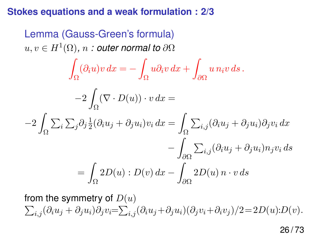### **Stokes equations and a weak formulation : 2/3**

Lemma (Gauss-Green's formula)  $u,v\in H^1(\Omega)$ ,  $n:$  outer normal to  $\partial\Omega$ Z Ω  $(\partial_i u)v dx = -$ Ω  $u\partial_i v\,dx +$ ∂Ω  $u \, n_i v \, ds$  .  $-2$ Ω  $(\nabla \cdot D(u)) \cdot v dx =$  $-2$ Ω  $\sum_i\sum_j \partial_j \frac{1}{2}$  $\frac{1}{2}(\partial_i u_j + \partial_j u_i)v_i dx =$ Ω  $\sum_{i,j} (\partial_i u_j + \partial_j u_i) \partial_j v_i dx$  $-\frac{1}{2}$ ∂Ω  $\sum_{i,j} (\partial_i u_j + \partial_j u_i) n_j v_i ds$  $=$ Ω  $2D(u): D(v) dx -$ ∂Ω  $2D(u)\, n\cdot v\, ds$ 

from the symmetry of  $D\!\left( u\right)$  $\sum_{i,j} (\partial_i u_j + \partial_j u_i) \partial_j v_i = \sum_{i,j} (\partial_i u_j + \partial_j u_i) (\partial_j v_i + \partial_i v_j)/2 = 2D(u)D(v).$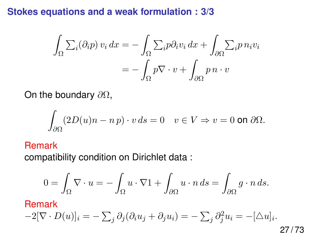## **Stokes equations and a weak formulation : 3/3**

$$
\int_{\Omega} \sum_{i} (\partial_{i} p) v_{i} dx = - \int_{\Omega} \sum_{i} p \partial_{i} v_{i} dx + \int_{\partial \Omega} \sum_{i} p n_{i} v_{i}
$$

$$
= - \int_{\Omega} p \nabla \cdot v + \int_{\partial \Omega} p n \cdot v
$$

On the boundary  $\partial\Omega$ ,

$$
\int_{\partial\Omega} (2D(u)n - n p) \cdot v \, ds = 0 \quad v \in V \Rightarrow v = 0 \text{ on } \partial\Omega.
$$

#### Remark

compatibility condition on Dirichlet data :

$$
0=\int_{\Omega} \nabla \cdot u = -\int_{\Omega} u \cdot \nabla 1 + \int_{\partial \Omega} u \cdot n \, ds = \int_{\partial \Omega} g \cdot n \, ds.
$$

Remark

$$
-2[\nabla \cdot D(u)]_i = -\sum_j \partial_j(\partial_i u_j + \partial_j u_i) = -\sum_j \partial_j^2 u_i = -[\Delta u]_i.
$$

27 / 73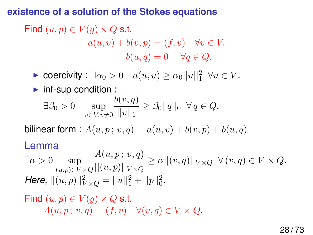### <span id="page-27-0"></span>**existence of a solution of the Stokes equations**

Find 
$$
(u, p) \in V(g) \times Q
$$
 s.t.  
\n $a(u, v) + b(v, p) = (f, v) \quad \forall v \in V,$   
\n $b(u, q) = 0 \quad \forall q \in Q.$ 

► coercivity :  $\exists \alpha_0 > 0 \quad a(u, u) \ge \alpha_0 ||u||_1^2 \quad \forall u \in V$ .

### $\blacktriangleright$  inf-sup condition :

$$
\exists \beta_0 > 0 \quad \sup_{v \in V, v \neq 0} \frac{b(v, q)}{||v||_1} \ge \beta_0 ||q||_0 \ \forall q \in Q.
$$

bilinear form :  $A(u, p; v, q) = a(u, v) + b(v, p) + b(u, q)$ 

#### Lemma

 $\exists \alpha > 0$  sup  $(u,p) \in V \times Q$  $A(u, p; v, q)$  $\frac{dP(x, p, v, q)}{||(u, p)||_{V \times Q}} \ge \alpha ||(v, q)||_{V \times Q} \ \ \forall (v, q) \in V \times Q.$ *Here,*  $||(u, p)||_{V \times Q}^2 = ||u||_1^2 + ||p||_0^2$ .

# Find  $(u, p) \in V(q) \times Q$  s.t.  $A(u, p; v, q) = (f, v) \quad \forall (v, q) \in V \times Q.$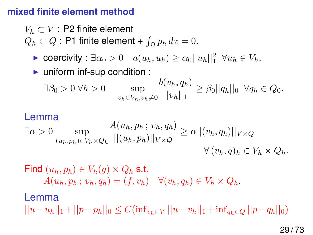#### <span id="page-28-0"></span>**mixed finite element method**

 $V_h \subset V$ : P2 finite element

 $Q_h \subset Q$  : P1 finite element +  $\int_{\Omega} p_h dx = 0$ .

- ► coercivity :  $\exists \alpha_0 > 0 \quad a(u_h, u_h) \ge \alpha_0 ||u_h||_1^2 \quad \forall u_h \in V_h$ .
- $\blacktriangleright$  uniform inf-sup condition :

$$
\exists \beta_0 > 0 \ \forall h > 0 \quad \sup_{v_h \in V_h, v_h \neq 0} \frac{b(v_h, q_h)}{||v_h||_1} \ge \beta_0 ||q_h||_0 \ \ \forall q_h \in Q_0.
$$

#### Lemma

$$
\exists \alpha > 0 \sup_{(u_h, p_h) \in V_h \times Q_h} \frac{A(u_h, p_h; v_h, q_h)}{||(u_h, p_h)||_{V \times Q}} \ge \alpha ||(v_h, q_h)||_{V \times Q} \qquad \forall (v_h, q)_h \in V_h \times Q_h.
$$

Find  $(u_h, p_h) \in V_h(q) \times Q_h$  s.t.  $A(u_h, p_h; v_h, q_h) = (f, v_h) \quad \forall (v_h, q_h) \in V_h \times Q_h.$ 

#### Lemma

 $||u-u_h||_1 + ||p-p_h||_0 \leq C(\inf_{v_h \in V} ||u-v_h||_1 + \inf_{a_h \in O} ||p-q_h||_0)$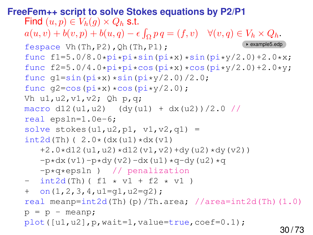```
FreeFem++ script to solve Stokes equations by P2/P1
   Find (u, p) \in V_h(q) \times Q_h s.t.
   a(u, v) + b(v, p) + b(u, q) - \epsilon \int_{\Omega} p q = (f, v) \quad \forall (v, q) \in V_h \times Q_h.fespace Vh(Th,P2),Qh(Th,P1);
   func f1=5.0/8.0*pi*pi*sin(pixx)*sin(pixy/2.0)+2.0*x;func f2=5.0/4.0*pi*pi*cos(pixx)*cos(pixy/2.0)+2.0*y;func q1=sin(pix)xsin(pixy/2.0)/2.0;func q2 = \cos(pix) * \cos(pix)/2.0;
   Vh u1,u2,v1,v2; Qh p,q;
   macro d12(u1,u2) (dy(u1) + dx(u2))/2.0 //
   real epsln=1.0e-6;
   solve stokes(u1, u2, p1, v1, v2, q1) =
   int2d(Th) ( 2.0*(dx(u1)*dx(v1)+2.0*d12(ul,u2)*d12(v1,v2)+dy(u2)*dy(v2))-p*dx(v1)-p*dy(v2)-dx(u1)*q-dy(u2)*q-p*q*epsln ) // penalization
   - int2d(Th)( f1 \times v1 + f2 \times v1)
   + on (1, 2, 3, 4, u1=q1, u2=q2);
   real meanp=int2d(Th)(p)/Th.area; //area=int2d(Th)(1.0)
   p = p - \text{mean}p;
   plot([u1,u2],p,wait=1,value=true,coef=0.1);30 / 73
```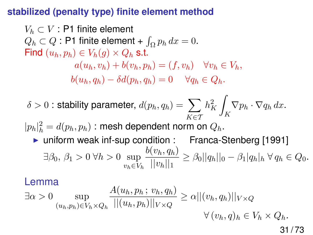### **stabilized (penalty type) finite element method**

 $V_h \subset V$  : P1 finite element  $Q_h \subset Q$ : P1 finite element +  $\int_{\Omega} p_h dx = 0$ . Find  $(u_h, p_h) \in V_h(q) \times Q_h$  s.t.  $a(u_h, v_h) + b(v_h, p_h) = (f, v_h) \quad \forall v_h \in V_h,$  $b(u_h, q_h) - \delta d(p_h, q_h) = 0 \quad \forall q_h \in Q_h.$ 

 $\delta>0$  : stability parameter,  $d(p_h,q_h)=\,\sum\,$ K∈T  $h_K^2$ Z K  $\nabla p_h \cdot \nabla q_h dx.$ 

 $|p_h|^2_h = d(p_h, p_h)$  : mesh dependent norm on  $Q_h$ .

► uniform weak inf-sup condition : Franca-Stenberg [1991]  $\exists \beta_0, \beta_1 > 0 \ \forall h > 0 \ \text{sup}$  $v_h \in V_h$  $b(v_h, q_h)$  $\frac{\partial (n, q_n)}{\partial |n|_1} \geq \beta_0 ||q_h||_0 - \beta_1 |q_h|_h \ \forall \, q_h \in Q_0.$ 

#### Lemma

$$
\exists \alpha > 0 \sup_{(u_h, p_h) \in V_h \times Q_h} \frac{A(u_h, p_h; v_h, q_h)}{||(u_h, p_h)||_{V \times Q}} \ge \alpha ||(v_h, q_h)||_{V \times Q} \qquad \forall (v_h, q)_h \in V_h \times Q_h.
$$

31 / 73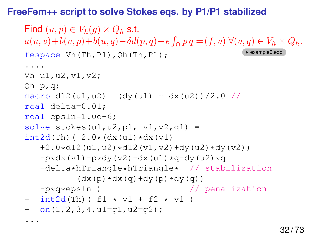#### **FreeFem++ script to solve Stokes eqs. by P1/P1 stabilized**

```
Find (u, p) \in V_h(q) \times Q_h s.t.
a(u, v)+b(v, p)+b(u, q)-\delta d(p, q)-\epsilon \int_{\Omega} p q = (f, v) \ \forall (v, q) \in V_h \times Q_h.fespace Vh(Th,P1),Qh(Th,P1);\qquad \qquad Pexample6.edp
....
Vh u1,u2,v1,v2;
Qh p,q;
macro d12(u1,u2) (dy(u1) + dx(u2))/2.0 //
real delta=0.01;
real epsln=1.0e-6;
solve stokes(u1, u2, p1, v1, v2, q1) =
int2d(Th) ( 2.0*(dx(u1)*dx(v1))+2.0*d12(ul,u2)*d12(v1,v2)+dy(u2)*dy(v2))-p*dx(v1)-p*dy(v2)-dx(u1)*q-dy(u2)*q-delta*hTriangle*hTriangle* // stabilization
            (dx (p) * dx (q) + dy (p) * dy (q))-p*q*epsln ) // penalization
- int2d(Th)( f1 \times v1 + f2 \times v1)
+ on (1, 2, 3, 4, u1=q1, u2=q2);
...
```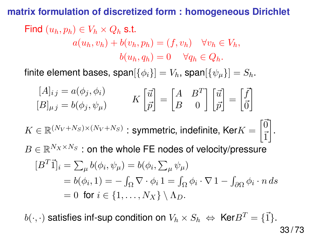#### **matrix formulation of discretized form : homogeneous Dirichlet**

Find 
$$
(u_h, p_h) \in V_h \times Q_h
$$
 s.t.  
\n
$$
a(u_h, v_h) + b(v_h, p_h) = (f, v_h) \quad \forall v_h \in V_h,
$$
\n
$$
b(u_h, q_h) = 0 \quad \forall q_h \in Q_h.
$$

finite element bases, span $[\{\phi_i\}] = V_h$ , span $[\{\psi_\mu\}] = S_h$ .

$$
[A]_{ij} = a(\phi_j, \phi_i)
$$

$$
K\begin{bmatrix} \vec{u} \\ \vec{p} \end{bmatrix} = \begin{bmatrix} A & B^T \\ B & 0 \end{bmatrix} \begin{bmatrix} \vec{u} \\ \vec{p} \end{bmatrix} = \begin{bmatrix} \vec{f} \\ \vec{0} \end{bmatrix}
$$

$$
K \in \mathbb{R}^{(N_V + N_S) \times (N_V + N_S)} : \text{symmetric, indefinite, } \text{Ker}K = \begin{bmatrix} \vec{0} \\ \vec{1} \end{bmatrix}.
$$

$$
B \in \mathbb{R}^{N_X \times N_S} : \text{on the whole FE nodes of velocity/pressive}
$$

$$
[B^T \vec{1}]_i = \sum_{\mu} b(\phi_i, \psi_{\mu}) = b(\phi_i, \sum_{\mu} \psi_{\mu})
$$

$$
= b(\phi_i, 1) = -\int_{\Omega} \nabla \cdot \phi_i \mathbf{1} = \int_{\Omega} \phi_i \cdot \nabla \mathbf{1} - \int_{\partial \Omega} \phi_i \cdot n \, ds
$$

$$
= 0 \text{ for } i \in \{1, \dots, N_X\} \setminus \Lambda_D.
$$

 $b(\cdot, \cdot)$  satisfies inf-sup condition on  $V_h \times S_h \Leftrightarrow \text{Ker} B^T = \{\vec{1}\}.$ 

33 / 73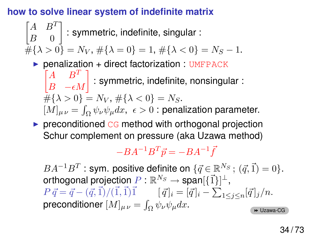# **how to solve linear system of indefinite matrix**

$$
\begin{bmatrix} A & B^T \ B & 0 \end{bmatrix}
$$
: symmetric, indefinite, singular :  
#{λ > 0} = N<sub>V</sub>, #{λ = 0} = 1, #{λ < 0} = N<sub>S</sub> - 1.  
\n▶ penalization + direct factorization : UMFPACK

 $\begin{bmatrix} A & B^T \ B & -\epsilon M \end{bmatrix}$ : symmetric, indefinite, nonsingular :  $\#\{\lambda > 0\} = N_V$ ,  $\#\{\lambda < 0\} = N_S$ .  $[M]_{\mu\nu} = \int_{\Omega} \psi_{\nu} \psi_{\mu} dx$ ,  $\epsilon > 0$  : penalization parameter.

 $\triangleright$  preconditioned CG method with orthogonal projection Schur complement on pressure (aka Uzawa method)

 $-BA^{-1}B^{T}\vec{p} = -BA^{-1}\vec{f}$ 

 $BA^{-1}B^T$  : sym. positive definite on  $\{\vec{q} \in \mathbb{R}^{N_S} \,;\, (\vec{q}, \vec{1}) = 0\}.$ orthogonal projection  $P:\mathbb{R}^{N_S}\rightarrow \mathsf{span}[\{\vec{1}\}]^{\perp},$  $P \vec{q} = \vec{q} - (\vec{q}, \vec{1})/(\vec{1}, \vec{1})\vec{1}$   $[\vec{q}]_i = [\vec{q}]_i - \sum_{1 \leq j \leq n} [\vec{q}]_j/n.$ preconditioner  $[M]_{\mu\nu} = \int_{\Omega} \psi_{\nu} \psi_{\mu} dx$ . [Uzawa-CG](#page-61-1)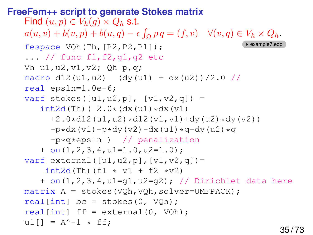```
FreeFem++ script to generate Stokes matrix
   Find (u, p) \in V_h(q) \times Q_h s.t.
   a(u, v) + b(v, p) + b(u, q) - \epsilon \int_{\Omega} p q = (f, v) \quad \forall (v, q) \in V_h \times Q_h.fespace VOh(Th, [P2, P2, P1]);
   \ldots // func f1, f2, g1, g2 etc
   Vh u1,u2,v1,v2; Qh p,q;
   macro d12(u1,u2) (dy(u1) + dx(u2))/2.0 //
   real epsln=1.0e-6;
   varf stokes([u1, u2, p], [v1, v2, q]) =
       int2d(Th) ( 2.0*(dx(u1)*dx(v1))+2.0*d12(ul,u2)*d12(v1,v1)+dy(u2)*dy(v2)-p*dx(v1)-p*dy(v2)-dx(u1)*q-dy(u2)*q-p*q*epsln ) // penalization
       + on(1,2,3,4,u1=1.0,u2=1.0);
   varf external ([ul, u2, p], [vl, v2, q]) =int2d(Th)(f1 * v1 + f2 *v2)+ on(1,2,3,4,u1=g1,u2=g2); // Dirichlet data here
   matrix A = stokes(VQh, VQh, solver=UMFPACK);real[int] bc = stokes(0, VQh);real[int] ff = external(0, V0h);u1[] = A^{\wedge} - 1 \star ff:
```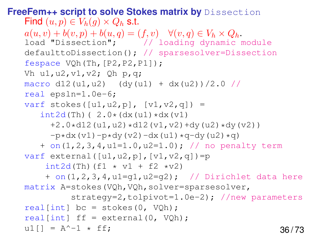```
FreeFem++ script to solve Stokes matrix by Dissection
   Find (u, p) \in V_h(q) \times Q_h s.t.
   a(u, v) + b(v, p) + b(u, q) = (f, v) \quad \forall (v, q) \in V_h \times Q_h.load "Dissection"; // loading dynamic module
   defaulttoDissection(); // sparsesolver=Dissection
   fespace VOh(Th, [P2, P2, P1]);
   Vh u1, u2, v1, v2; Oh p,q;
   macro d12(u1,u2) (dy(u1) + dx(u2))/2.0 //
   real epsln=1.0e-6;
   varf stokes([u1, u2, p], [v1, v2, q]) =
      int2d(Th) ( 2.0*(dx(u1)*dx(v1))+2.0*d12(ul,u2)*d12(v1,v2)+dy(u2)*dy(v2))-p*dx(v1)-p*dy(v2)-dx(u1)*q-dy(u2)*q)+ on(1,2,3,4,u1=1.0,u2=1.0); // no penalty term
   varf external([u1, u2, p], [v1, v2, q]) = p
       int2d(Th) (f1 \star v1 + f2 \starv2)
       + on(1,2,3,4,u1=q1,u2=q2); // Dirichlet data here
   matrix A=stokes(VQh, VQh, solver=sparsesolver,
             strategy=2,tolpivot=1.0e-2); //new parameters
   real[int] bc = stokes(0, VQh);
   real[int] ff = external(0, VQh);ul] = A^{\wedge} - 1 \star ff; 36/73
```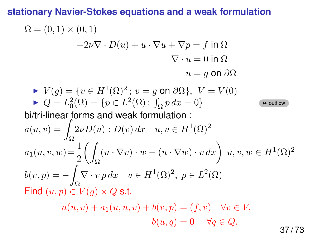## **stationary Navier-Stokes equations and a weak formulation**

$$
\Omega = (0,1) \times (0,1)
$$
  
\n
$$
-2\nu \nabla \cdot D(u) + u \cdot \nabla u + \nabla p = f \text{ in } \Omega
$$
  
\n
$$
\nabla \cdot u = 0 \text{ in } \Omega
$$
  
\n
$$
u = g \text{ on } \partial\Omega
$$
  
\n
$$
\blacktriangleright V(g) = \{v \in H^1(\Omega)^2; v = g \text{ on } \partial\Omega\}, V = V(0)
$$
  
\n
$$
\blacktriangleright Q = L_0^2(\Omega) = \{p \in L^2(\Omega); \int_{\Omega} p \, dx = 0\}
$$
  
\nbi/tri-linear forms and weak formulation :  
\n
$$
a(u, v) = \int_{\Omega} 2\nu D(u) : D(v) \, dx \quad u, v \in H^1(\Omega)^2
$$
  
\n
$$
a_1(u, v, w) = \frac{1}{2} \left( \int_{\Omega} (u \cdot \nabla v) \cdot w - (u \cdot \nabla w) \cdot v \, dx \right) u, v, w \in H^1(\Omega)^2
$$
  
\n
$$
b(v, p) = -\int_{\Omega} \nabla \cdot v \, p \, dx \quad v \in H^1(\Omega)^2, \ p \in L^2(\Omega)
$$
  
\nFind  $(u, p) \in V(g) \times Q$  s.t.  
\n
$$
a(u, v) + a_1(u, u, v) + b(v, p) = (f, v) \quad \forall v \in V,
$$

 $b(u, q) = 0 \quad \forall q \in Q.$ 

<span id="page-36-0"></span>37 / 73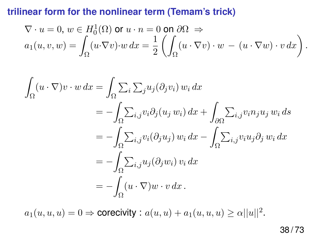## **trilinear form for the nonlinear term (Temam's trick)**

$$
\nabla \cdot u = 0, w \in H_0^1(\Omega) \text{ or } u \cdot n = 0 \text{ on } \partial\Omega \implies
$$
  
\n
$$
a_1(u, v, w) = \int_{\Omega} (u \cdot \nabla v) \cdot w \, dx = \frac{1}{2} \left( \int_{\Omega} (u \cdot \nabla v) \cdot w - (u \cdot \nabla w) \cdot v \, dx \right)
$$

$$
\int_{\Omega} (u \cdot \nabla) v \cdot w \, dx = \int_{\Omega} \sum_{i} \sum_{j} u_{j} (\partial_{j} v_{i}) w_{i} \, dx
$$
\n
$$
= - \int_{\Omega} \sum_{i,j} v_{i} \partial_{j} (u_{j} w_{i}) \, dx + \int_{\partial \Omega} \sum_{i,j} v_{i} n_{j} u_{j} w_{i} \, ds
$$
\n
$$
= - \int_{\Omega} \sum_{i,j} v_{i} (\partial_{j} u_{j}) w_{i} \, dx - \int_{\Omega} \sum_{i,j} v_{i} u_{j} \partial_{j} w_{i} \, dx
$$
\n
$$
= - \int_{\Omega} \sum_{i,j} u_{j} (\partial_{j} w_{i}) v_{i} \, dx
$$
\n
$$
= - \int_{\Omega} (u \cdot \nabla) w \cdot v \, dx.
$$

 $a_1(u, u, u) = 0 \Rightarrow$  corecivity :  $a(u, u) + a_1(u, u, u) \ge \alpha ||u||^2$ .

.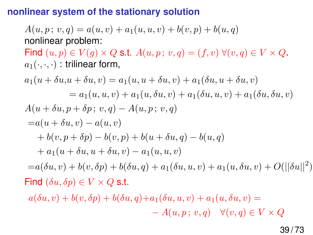#### **nonlinear system of the stationary solution**

 $A(u, p; v, q) = a(u, v) + a_1(u, u, v) + b(v, p) + b(u, q)$ nonlinear problem:

Find  $(u, p) \in V(q) \times Q$  s.t.  $A(u, p; v, q) = (f, v) \forall (v, q) \in V \times Q$ .  $a_1(\cdot,\cdot,\cdot)$ : trilinear form,

$$
a_1(u + \delta u, u + \delta u, v) = a_1(u, u + \delta u, v) + a_1(\delta u, u + \delta u, v)
$$
  
\n
$$
= a_1(u, u, v) + a_1(u, \delta u, v) + a_1(\delta u, u, v) + a_1(\delta u, \delta u, v)
$$
  
\n
$$
A(u + \delta u, p + \delta p; v, q) - A(u, p; v, q)
$$
  
\n
$$
= a(u + \delta u, v) - a(u, v)
$$
  
\n
$$
+ b(v, p + \delta p) - b(v, p) + b(u + \delta u, q) - b(u, q)
$$
  
\n
$$
+ a_1(u + \delta u, u + \delta u, v) - a_1(u, u, v)
$$
  
\n
$$
= a(\delta u, v) + b(v, \delta p) + b(\delta u, q) + a_1(\delta u, u, v) + a_1(u, \delta u, v) + O(||\delta u||^2)
$$
  
\nFind  $(\delta u, \delta p) \in V \times Q$  s.t.

 $a(\delta u, v) + b(v, \delta p) + b(\delta u, q) + a_1(\delta u, u, v) + a_1(u, \delta u, v) =$  $-A(u, p; v, q) \quad \forall (v, q) \in V \times Q$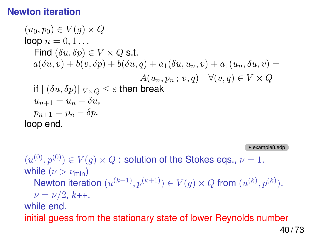## **Newton iteration**

$$
(u_0, p_0) \in V(g) \times Q
$$
  
\nloop  $n = 0, 1...$   
\nFind  $(\delta u, \delta p) \in V \times Q$  s.t.  
\n $a(\delta u, v) + b(v, \delta p) + b(\delta u, q) + a_1(\delta u, u_n, v) + a_1(u_n, \delta u, v) =$   
\nif  $||(\delta u, \delta p)||_{V \times Q} \le \varepsilon$  then break  
\n $u_{n+1} = u_n - \delta u$ ,  
\n $p_{n+1} = p_n - \delta p$ .  
\nloop end.

example8.edp

 $(u^{(0)}, p^{(0)}) \in V(g) \times Q$  : solution of the Stokes eqs.,  $\nu = 1.$ while ( $\nu > \nu_{\min}$ ) Newton iteration  $(u^{(k+1)}, p^{(k+1)}) \in V(g) \times Q$  from  $(u^{(k)}, p^{(k)})$ .  $\nu = \nu/2, k$ ++. while end. initial guess from the stationary state of lower Reynolds number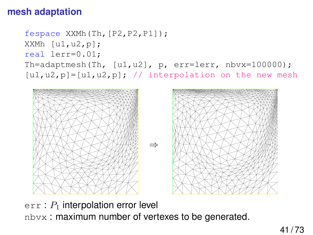# **mesh adaptation**

```
fespace XXMh(Th,[P2,P2,P1]);
XXMh [u1, u2, p];
real lerr=0.01;
Th=adaptmesh(Th, [u1,u2], p, err=lerr, nbvx=100000);
[u1, u2, p]=[u1, u2, p]; // interpolation on the new mesh
```




 $err: P<sub>1</sub>$  interpolation error level nbvx : maximum number of vertexes to be generated.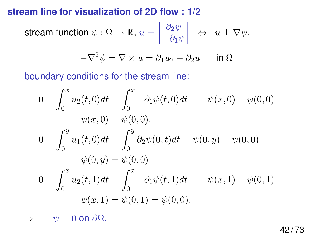# **stream line for visualization of 2D flow : 1/2**

$$
\text{stream function }\psi:\Omega\to\mathbb{R},\,u=\begin{bmatrix}\partial_2\psi\\-\partial_1\psi\end{bmatrix}\;\;\Leftrightarrow\;\;u\perp\nabla\psi.
$$

$$
-\nabla^2 \psi = \nabla \times u = \partial_1 u_2 - \partial_2 u_1 \quad \text{ in } \Omega
$$

boundary conditions for the stream line:

$$
0 = \int_0^x u_2(t,0)dt = \int_0^x -\partial_1\psi(t,0)dt = -\psi(x,0) + \psi(0,0)
$$
  

$$
\psi(x,0) = \psi(0,0).
$$
  

$$
0 = \int_0^y u_1(t,0)dt = \int_0^y \partial_2\psi(0,t)dt = \psi(0,y) + \psi(0,0)
$$
  

$$
\psi(0,y) = \psi(0,0).
$$
  

$$
0 = \int_0^x u_2(t,1)dt = \int_0^x -\partial_1\psi(t,1)dt = -\psi(x,1) + \psi(0,1)
$$
  

$$
\psi(x,1) = \psi(0,1) = \psi(0,0).
$$

 $\Rightarrow \quad \psi = 0$  on  $\partial \Omega$ .

42 / 73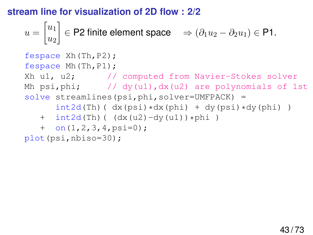# **stream line for visualization of 2D flow : 2/2**

$$
u = \begin{bmatrix} u_1 \\ u_2 \end{bmatrix} \in \mathsf{P2}
$$
 finite element space  $\Rightarrow (\partial_1 u_2 - \partial_2 u_1) \in \mathsf{P1}$ .

```
fespace Xh(Th,P2);
fespace Mh(Th,P1);
Xh u1, u2; // computed from Navier-Stokes solver
Mh psi, phi; \frac{1}{\frac{dy}{dx}} (u1), dx(u2) are polynomials of 1st
solve streamlines(psi, phi, solver=UMFPACK) =
      int2d(Th) (dx(psi) *dx(phi) + dy(psi) *dy(phi) )
   + int2d(Th)( (dx(uz) - dy(ul)) *phi)
   + on(1,2,3,4,psi=0);
plot(psi,nbiso=30);
```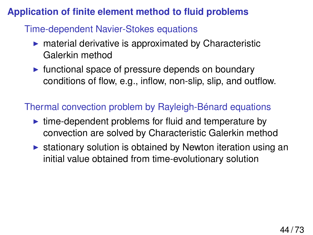# **Application of finite element method to fluid problems**

# Time-dependent Navier-Stokes equations

- $\triangleright$  material derivative is approximated by Characteristic Galerkin method
- $\triangleright$  functional space of pressure depends on boundary conditions of flow, e.g., inflow, non-slip, slip, and outflow.

# Thermal convection problem by Rayleigh-Bénard equations

- $\triangleright$  time-dependent problems for fluid and temperature by convection are solved by Characteristic Galerkin method
- $\triangleright$  stationary solution is obtained by Newton iteration using an initial value obtained from time-evolutionary solution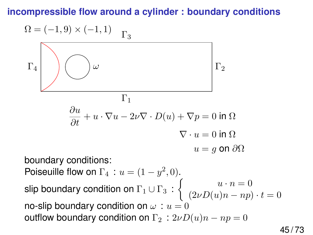# **incompressible flow around a cylinder : boundary conditions**

$$
\Omega = (-1,9) \times (-1,1) \quad \Gamma_3
$$
\n
$$
\Gamma_4
$$
\n
$$
\begin{array}{c}\n\Gamma_1 \\
\hline\n\frac{\partial u}{\partial t} + u \cdot \nabla u - 2\nu \nabla \cdot D(u) + \nabla p = 0 \text{ in } \Omega \\
\hline\n\vdots \\
\Omega = g \text{ on } \Omega\n\end{array}
$$
\n
$$
\begin{array}{c}\n\text{boundary conditions:} \\
\text{Poiseuille flow on } \Gamma_4 : u = (1 - y^2, 0).\n\end{array}
$$
\n
$$
\text{slip boundary condition on } \Gamma_1 \cup \Gamma_3 : \begin{cases}\nu \cdot n = 0 \\
(2\nu D(u)n - np) \cdot t = 0\n\end{cases}
$$
\n
$$
\text{notflow boundary condition on } \omega : u = 0
$$
\n
$$
\text{outflow boundary condition on } \Gamma_2 : 2\nu D(u)n - np = 0
$$

45 / 73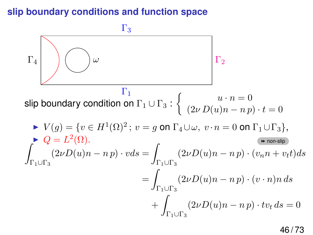## **slip boundary conditions and function space**

 $\Gamma_4$  $\Gamma_1$  $\Gamma_2$  $\Gamma_3$ ω slip boundary condition on  $\Gamma_1 \cup \Gamma_3$  :  $\left\{ \begin{array}{cc} u \cdot n = 0, & \omega \cdot n = 0, & \omega \cdot n \end{array} \right.$  $(2\nu D(u)n - n p) \cdot t = 0$  $V(g) = \{v \in H^1(\Omega)^2\, ; \, v = g \text{ on } \Gamma_4 \cup \omega, \ v \cdot n = 0 \text{ on } \Gamma_1 \cup \Gamma_3\},$  $Q = L^2(\Omega).$  $\Gamma_1 \cup \Gamma_3$  $(2\nu D(u)n - n p) \cdot vds =$  $\Gamma_1 \cup \Gamma_3$  $(2\nu D(u)n - n p) \cdot (v_n n + v_t t) ds$  $=$   $\overline{)}$  $\Gamma_1 \cup \Gamma_3$  $(2\nu D(u)n - n p) \cdot (v \cdot n)n ds$  $+$  |  $\Gamma_1 \cup \Gamma_3$  $(2\nu D(u)n - n p) \cdot tv_t ds = 0$ 

<span id="page-45-0"></span>46 / 73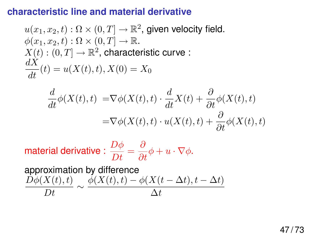#### **characteristic line and material derivative**

$$
u(x_1, x_2, t) : \Omega \times (0, T] \to \mathbb{R}^2
$$
, given velocity field.  
\n
$$
\phi(x_1, x_2, t) : \Omega \times (0, T] \to \mathbb{R}
$$
.  
\n
$$
X(t) : (0, T] \to \mathbb{R}^2
$$
, characteristic curve :  
\n
$$
\frac{dX}{dt}(t) = u(X(t), t), X(0) = X_0
$$

$$
\frac{d}{dt}\phi(X(t),t) = \nabla\phi(X(t),t) \cdot \frac{d}{dt}X(t) + \frac{\partial}{\partial t}\phi(X(t),t)
$$

$$
= \nabla\phi(X(t),t) \cdot u(X(t),t) + \frac{\partial}{\partial t}\phi(X(t),t)
$$

material derivative :  $\displaystyle{\frac{D\phi}{Dt}=\frac{\partial}{\partial t}\phi+u\cdot\nabla\phi}.$ 

approximation by difference  $\frac{D\phi(X(t),t)}{D} \sim \frac{\phi(X(t),t) - \phi(X(t-\Delta t),t-\Delta t)}{\Delta t}$ Dt ∆t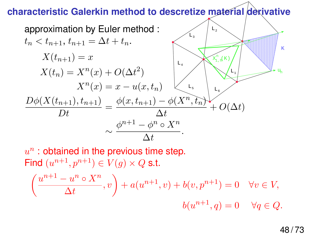# **characteristic Galerkin method to descretize material derivative**

approximation by Euler method :  
\n
$$
t_n < t_{n+1}, t_{n+1} = \Delta t + t_n
$$
.  
\n
$$
X(t_{n+1}) = x
$$
\n
$$
X(t_n) = X^n(x) + O(\Delta t^2)
$$
\n
$$
X^n(x) = x - u(x, t_n)
$$
\n
$$
\frac{D\phi(X(t_{n+1}), t_{n+1})}{Dt} = \frac{\phi(x, t_{n+1}) - \phi(X^n, t_n)}{\Delta t} + O(\Delta t)
$$
\n
$$
\sim \frac{\phi^{n+1} - \phi^n \circ X^n}{\Delta t}
$$

$$
u^{n}: \text{obtained in the previous time step.}
$$
\n
$$
\text{Find } (u^{n+1}, p^{n+1}) \in V(g) \times Q \text{ s.t.}
$$
\n
$$
\left(\frac{u^{n+1} - u^{n} \circ X^{n}}{\Delta t}, v\right) + a(u^{n+1}, v) + b(v, p^{n+1}) = 0 \quad \forall v \in V,
$$
\n
$$
b(u^{n+1}, q) = 0 \quad \forall q \in Q.
$$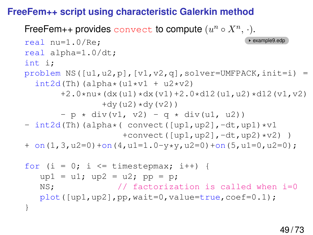# **FreeFem++ script using characteristic Galerkin method**

FreeFem++ provides convect to compute  $(u^n \circ X^n, \cdot).$ real nu=1.0/Re; example9.edp real alpha=1.0/dt; int i; problem NS( $[ul,ul,pl, [vl,v2,q]$ , solver=UMFPACK, init=i) =  $int2d(Th)(alpha*(u1*v1 + u2*v2))$  $+2.0*nu*(dx(u1)*dx(v1)+2.0*dl2(u1,u2)*dl2(v1,v2)$  $+dy(uz) *dy( v2) )$  $- p * div(v1, v2) - q * div(u1, u2)$  $-$  int2d(Th)(alpha\*( convect([up1,up2],-dt,up1)\*v1 +convect( $[up1,up2]$ ,-dt, $up2)*v2)$ )  $+$  on(1,3,u2=0)+on(4,u1=1.0-y\*y,u2=0)+on(5,u1=0,u2=0); for  $(i = 0; i \le i$  timestepmax;  $i++)$  {  $up1 = ul; up2 = ul; pp = p;$ NS;  $\frac{1}{2}$  // factorization is called when i=0 plot([up1,up2],pp,wait=0,value=true,coef=0.1); }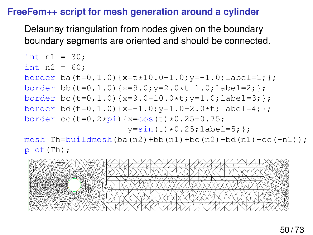## **FreeFem++ script for mesh generation around a cylinder**

plot(Th);

Delaunay triangulation from nodes given on the boundary boundary segments are oriented and should be connected.

int n1 = 30; int n2 = 60; border ba(t=0,1.0){x=t\*10.0-1.0;y=-1.0;label=1;}; border bb(t=0,1.0){x=9.0;y=2.0\*t-1.0;label=2;}; border bc(t=0,1.0){x=9.0-10.0\*t;y=1.0;label=3;}; border bd(t=0,1.0){x=-1.0;y=1.0-2.0\*t;label=4;}; border cc(t=0,2\*pi){x=cos(t)\*0.25+0.75; y=sin(t)\*0.25;label=5;}; mesh Th=buildmesh(ba(n2)+bb(n1)+bc(n2)+bd(n1)+cc(-n1));

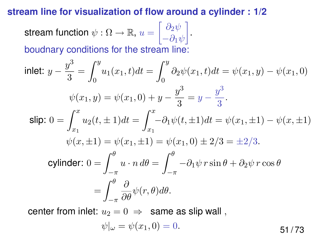#### **stream line for visualization of flow around a cylinder : 1/2**

stream function  $\psi : \Omega \rightarrow \mathbb{R}, \, u = \left[ \begin{array}{c} \partial_2 \psi \ \partial_3 \psi \end{array} \right]$  $-\partial_1\psi$  . boudnary conditions for the stream line:

inlet: 
$$
y - \frac{y^3}{3} = \int_0^y u_1(x_1, t)dt = \int_0^y \partial_2 \psi(x_1, t)dt = \psi(x_1, y) - \psi(x_1, 0)
$$
  
\n $\psi(x_1, y) = \psi(x_1, 0) + y - \frac{y^3}{3} = y - \frac{y^3}{3}$ .  
\nslip:  $0 = \int_{x_1}^x u_2(t, \pm 1)dt = \int_{x_1}^x -\partial_1 \psi(t, \pm 1)dt = \psi(x_1, \pm 1) - \psi(x, \pm 1)$   
\n $\psi(x, \pm 1) = \psi(x_1, \pm 1) = \psi(x_1, 0) \pm 2/3 = \pm 2/3$ .  
\ncylinder:  $0 = \int_{-\pi}^{\theta} u \cdot n \, d\theta = \int_{-\pi}^{\theta} -\partial_1 \psi \, r \sin \theta + \partial_2 \psi \, r \cos \theta$   
\n $= \int_{-\pi}^{\theta} \frac{\partial}{\partial \theta} \psi(r, \theta) d\theta$ .

center from inlet:  $u_2 = 0 \Rightarrow$  same as slip wall,

$$
\psi|_{\omega} = \psi(x_1, 0) = 0. \tag{51/73}
$$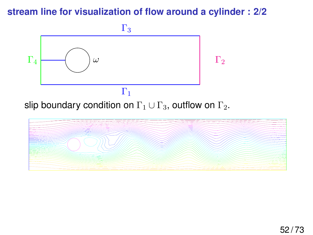# **stream line for visualization of flow around a cylinder : 2/2**

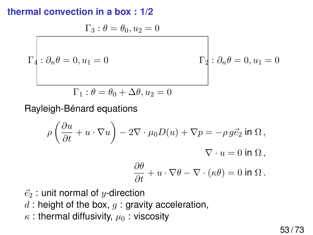# **thermal convection in a box : 1/2**

$$
\Gamma_3: \theta = \theta_0, u_2 = 0
$$

$$
\Gamma_2: \partial_n \theta = 0, u_1 = 0
$$

$$
\Gamma_1: \theta = \theta_0 + \Delta \theta, u_2 = 0
$$

Rayleigh-Bénard equations

$$
\rho \left( \frac{\partial u}{\partial t} + u \cdot \nabla u \right) - 2 \nabla \cdot \mu_0 D(u) + \nabla p = -\rho g \vec{e}_2 \text{ in } \Omega ,
$$
  

$$
\nabla \cdot u = 0 \text{ in } \Omega ,
$$
  

$$
\frac{\partial \theta}{\partial t} + u \cdot \nabla \theta - \nabla \cdot (\kappa \theta) = 0 \text{ in } \Omega .
$$

- $\vec{e}_2$  : unit normal of y-direction
- $d$ : height of the box,  $q$ : gravity acceleration,
- $\kappa$  : thermal diffusivity,  $\mu_0$  : viscosity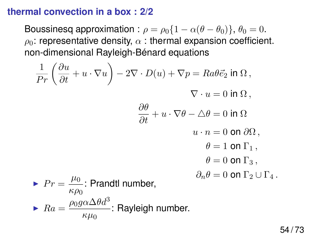#### **thermal convection in a box : 2/2**

Boussinesq approximation :  $\rho = \rho_0 \{1 - \alpha(\theta - \theta_0)\}, \theta_0 = 0.$  $\rho_0$ : representative density,  $\alpha$ : thermal expansion coefficient. non-dimensional Rayleigh-Bénard equations

$$
\frac{1}{Pr} \left( \frac{\partial u}{\partial t} + u \cdot \nabla u \right) - 2\nabla \cdot D(u) + \nabla p = Ra\theta \vec{e}_2 \text{ in } \Omega,
$$
  

$$
\nabla \cdot u = 0 \text{ in } \Omega,
$$
  

$$
\frac{\partial \theta}{\partial t} + u \cdot \nabla \theta - \Delta \theta = 0 \text{ in } \Omega
$$
  

$$
u \cdot n = 0 \text{ on } \partial \Omega,
$$
  

$$
\theta = 1 \text{ on } \Gamma_1,
$$
  

$$
\theta = 0 \text{ on } \Gamma_3,
$$
  

$$
\lambda \mathbf{P}r = \frac{\mu_0}{\kappa \rho_0} \text{: Prandtl number,}
$$
  

$$
\mathbf{R}a = \frac{\rho_0 g \alpha \Delta \theta d^3}{\kappa \mu_0} \text{: Rayleigh number.}
$$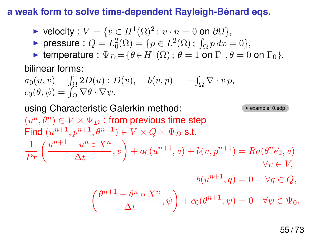#### **a weak form to solve time-dependent Rayleigh-Bénard eqs.**

▶ velocity : 
$$
V = \{v \in H^1(\Omega)^2
$$
;  $v \cdot n = 0$  on  $\partial \Omega\}$ ,

► pressure :  $Q = L_0^2(\Omega) = \{p \in L^2(\Omega) ; \int_{\Omega} p \, dx = 0\},\$ 

For temperature :  $\Psi_D = {\theta \in H^1(\Omega)$ ;  $\theta = 1$  on  $\Gamma_1, \theta = 0$  on  $\Gamma_0$ .

bilinear forms:

 $a_0(u, v) = \int_{\Omega} 2D(u) : D(v), \quad b(v, p) = -\int_{\Omega} \nabla \cdot v p,$  $c_0(\theta, \psi) = \int_{\Omega} \nabla \theta \cdot \nabla \psi.$ 

using Characteristic Galerkin method: example10.edp  $(u^n,\theta^n) \in V \times \Psi_D$  : from previous time step Find  $(u^{n+1}, p^{n+1}, \theta^{n+1}) \in V \times Q \times \Psi_D$  s.t.  $\frac{1}{Pr}\left(\frac{u^{n+1}-u^n\circ X^n}{\Delta t}\right)$  $\left( \frac{u^{n} \circ X^{n}}{\Delta t}, v \right) + a_{0}(u^{n+1}, v) + b(v, p^{n+1}) = Ra(\theta^{n} \vec{e}_{2}, v)$  $\forall v \in V,$  $b(u^{n+1}, q) = 0 \quad \forall q \in Q,$  $\int \theta^{n+1} - \theta^n \circ X^n$  $\left( \frac{\partial^n \circ X^n}{\Delta t}, \psi \right) + c_0(\theta^{n+1}, \psi) = 0 \quad \forall \psi \in \Psi_0.$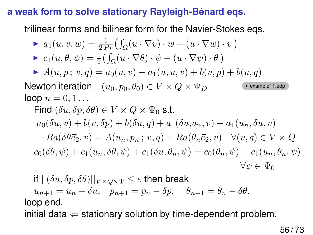## **a weak form to solve stationary Rayleigh-Bénard eqs.**

trilinear forms and bilinear form for the Navier-Stokes eqs.

► 
$$
a_1(u, v, w) = \frac{1}{2Pr} \left( \int_{\Omega} (u \cdot \nabla v) \cdot w - (u \cdot \nabla w) \cdot v \right)
$$
  
\n►  $c_1(u, \theta, \psi) = \frac{1}{2} \left( \int_{\Omega} (u \cdot \nabla \theta) \cdot \psi - (u \cdot \nabla \psi) \cdot \theta \right)$   
\n►  $A(u, p; v, q) = a_0(u, v) + a_1(u, u, v) + b(v, p) + b(u, q)$   
\nNewton iteration  $(u_0, p_0, \theta_0) \in V \times Q \times \Psi_D$  (example1.eq)  
\nloop  $n = 0, 1...$   
\nFind  $(\delta u, \delta p, \delta \theta) \in V \times Q \times \Psi_0$  s.t.  
\n $a_0(\delta u, v) + b(v, \delta p) + b(\delta u, q) + a_1(\delta u, u_n, v) + a_1(u_n, \delta u, v)$   
\n $-Ra(\delta \theta \vec{e}_2, v) = A(u_n, p_n; v, q) - Ra(\theta_n \vec{e}_2, v) \quad \forall (v, q) \in V \times Q$   
\n $c_0(\delta \theta, \psi) + c_1(u_n, \delta \theta, \psi) + c_1(\delta u, \theta_n, \psi) = c_0(\theta_n, \psi) + c_1(u_n, \theta_n, \psi)$   
\n $\forall \psi \in \Psi_0$ 

if 
$$
||(\delta u, \delta p, \delta \theta)||_{V \times Q \times \Psi} \leq \varepsilon
$$
 then break  
\n $u_{n+1} = u_n - \delta u$ ,  $p_{n+1} = p_n - \delta p$ ,  $\theta_{n+1} = \theta_n - \delta \theta$ .  
\nloop end.

initial data  $\Leftarrow$  stationary solution by time-dependent problem.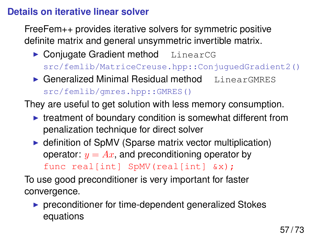# **Details on iterative linear solver**

FreeFem++ provides iterative solvers for symmetric positive definite matrix and general unsymmetric invertible matrix.

- $\triangleright$  Conjugate Gradient method LinearCG src/femlib/MatriceCreuse.hpp::ConjuguedGradient2()
- $\triangleright$  Generalized Minimal Residual method LinearGMRES src/femlib/gmres.hpp::GMRES()

They are useful to get solution with less memory consumption.

- $\blacktriangleright$  treatment of boundary condition is somewhat different from penalization technique for direct solver
- $\triangleright$  definition of SpMV (Sparse matrix vector multiplication) operator:  $y = Ax$ , and preconditioning operator by func real[int] SpMV(real[int] &x);

To use good preconditioner is very important for faster convergence.

 $\triangleright$  preconditioner for time-dependent generalized Stokes equations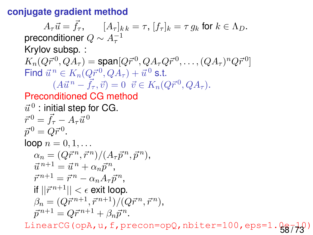#### **conjugate gradient method**

 $A_{\tau}\vec{u} = \vec{f}_{\tau}$ ,  $[A_{\tau}]_{k,k} = \tau$ ,  $[f_{\tau}]_{k} = \tau g_{k}$  for  $k \in \Lambda_{D}$ . preconditioner  $Q \sim A_{\tau}^{-1}$ Krylov subsp. :  $K_n(Q\vec{r}^{\,0},QA_\tau)=$  span $[Q\vec{r}^{\,0},QA_\tau Q\vec{r}^{\,0},\ldots,(QA_\tau)^n Q\vec{r}^{\,0}]$ Find  $\vec{u}^{\,n} \in K_n(Q\vec{r}^{\,0},QA_\tau) + \vec{u}^{\,0}$  s.t.  $(A\vec{u}^n - \vec{f}_{\tau}, \vec{v}) = 0 \ \ \vec{v} \in K_n(Q\vec{r}^0, QA_{\tau}).$ Preconditioned CG method  $\vec{u}^{\,0}$  : initial step for CG.  $\vec{r}^0 = \vec{f}_\tau - A_\tau \vec{u}^0$  $\vec{p}^0 = Q \vec{r}^0.$ loop  $n = 0, 1, \ldots$  $\alpha_n = (Q\vec{r}^n, \vec{r}^n)/(A_{\tau}\vec{p}^n, \vec{p}^n),$  $\vec{u}^{n+1} = \vec{u}^n + \alpha_n \vec{p}^n$ ,  $\vec{r}^{n+1} = \vec{r}^n - \alpha_n A_\tau \vec{p}^n,$ if  $||\vec{r}^{n+1}|| < \epsilon$  exit loop.  $\beta_n = (Q\vec{r}^{n+1}, \vec{r}^{n+1})/(Q\vec{r}^n, \vec{r}^n),$  $\vec{p}^{n+1} = Q \vec{r}^{n+1} + \beta_n \vec{p}^n.$ 

LinearCG(opA,  $u$ , f, precon=opQ, nbiter=100, eps=1. $\frac{0}{58}$ / $\frac{10}{23}$ )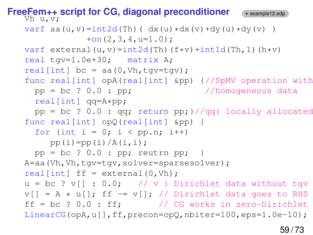```
FreeFem++ script for CG, diagonal preconditioner example12.edg
   Vh u,v;
   varf aa(u,v)=int2d(Th)( dx(u)*dx(v)+dy(u)*dy(v) )
               +on(2,3,4,u=1.0);
   varf external(u,v)=int2d(Th)(f*v)+int1d(Th,1)(h*v)
   real tgv=1.0e+30; matrix A;
   real[int] bc = aa(0, Vh, tqv=tqv);func real[int] opA(real[int] &pp) {//SpMV operation with
     pp = bc ? 0.0 : pp; //homogeneous data
     real[int] qq=A*pp;
     pp = bc ? 0.0 : qq; return pp; //qq: locally allocated
   func real[int] opQ(real[int] &pp) {
     for (int i = 0; i < pp.n; i++)pp(i)=pp(i)/A(i,i);pp = bc ? 0.0 : pp; return pp;A=aa(Vh, Vh, tqv=tqv, solver=sparsesolver);
   real[int] ff = external(0, Vh);u = bc ? v[] : 0.0; // v : Dirichlet data without tgv
   v[] = A * u[]; ff -= v[]; // Dirichlet data goes to RHS
   \text{ff} = \text{bc} ? 0.0 : \text{ff}; // CG works in zero-Dirichlet
   LinearCG(opA,u[],ff,precon=opQ,nbiter=100,eps=1.0e-10);
```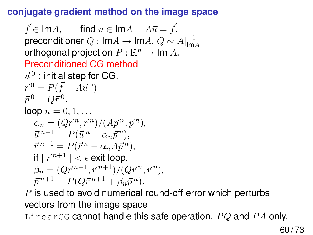# **conjugate gradient method on the image space**

 $\vec{f} \in \text{Im}A$ , find  $u \in \text{Im}A$   $A\vec{u} = \vec{f}$ . preconditioner  $Q: \mathsf{Im} A \to \mathsf{Im} A, \, Q \sim A|_{\mathsf{Im}}^{-1}$ ImA orthogonal projection  $P : \mathbb{R}^n \to \mathsf{Im}\; A$ . Preconditioned CG method  $\vec{u}^{\,0}$  : initial step for CG.  $\vec{r}^0 = P(\vec{f} - A\vec{u}^0)$  $\vec{p}^{\,0} = Q \vec{r}^{\,0}.$  $loop n = 0, 1, ...$  $\alpha_n = (Q\vec{r}^n, \vec{r}^n)/(A\vec{p}^n, \vec{p}^n),$  $\vec{u}^{n+1} = P(\vec{u}^n + \alpha_n \vec{p}^n),$  $\vec{r}^{n+1} = P(\vec{r}^n - \alpha_n A \vec{p}^n),$ if  $||\vec{r}^{n+1}|| < \epsilon$  exit loop.  $\beta_n = (Q\vec{r}^{n+1}, \vec{r}^{n+1})/(Q\vec{r}^n, \vec{r}^n),$  $\vec{p}^{n+1} = P(Q\vec{r}^{n+1} + \beta_n \vec{p}^n).$ 

 $P$  is used to avoid numerical round-off error which perturbs vectors from the image space

LinearCG cannot handle this safe operation.  $PQ$  and  $PA$  only.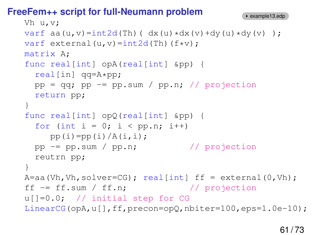# **FreeFem++ script for full-Neumann problem**

```
Vh u,v;
varf aa(u,v)=int2d(Th)( dx(u) * dx(v) + dy(u) * dy(v) );
varf external(u, v)=int2d(Th)(f*v);
matrix A;
func real[int] opA(real[int] &pp) {
  real[in] qq=A*pp;
  pp = qq; pp = pp.sum / pp.n; // projectionreturn pp;
}
func real[int] opQ(real[int] &pp) {
  for (int i = 0; i < pp.n; i++)pp(i)=pp(i)/A(i,i);pp -= pp.sum / pp.n; // projection
  reutrn pp;
}
A=aa(Vh, Vh, solver=CG); real(int) \text{ ff} = extend(0, Vh);ff = ff.sum / ff.n; // projection
u[]=0.0; // initial step for CG
LinearCG(opA,u[],ff,precon=opQ,nbiter=100,eps=1.0e-10);
```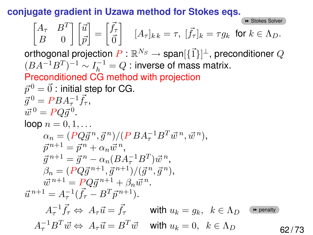**conjugate gradient in Uzawa method for Stokes eqs.**

 $\begin{bmatrix} A_{\tau} & B^T \end{bmatrix}$ **B** [Stokes Solver](#page-33-0)  $B = 0$  $\vert \; \vert \bar{u}$  $\bar{p}$  $\vec{f}_{\vec{\sigma}} = \begin{bmatrix} \vec{f}_{\tau} \\ \vec{\sigma} \end{bmatrix}$  $\vec{0}$  $\begin{aligned} \left[ A_{\tau} \right]_{k,k} = \tau, \ [\vec{f}_{\tau}]_{k} = \tau g_{k} \ \ \text{for } k \in \Lambda_{D}. \end{aligned}$ orthogonal projection  $P:\mathbb{R}^{N_S}\to \mathsf{span}[\{\vec{1}\}]^\bot,$  preconditioner  $Q$  $(BA^{-1}B^{T})^{-1} \sim I_h^{-1} = Q$  : inverse of mass matrix. Preconditioned CG method with projection  $\vec{p}^{\,0}=\vec{0}$  : initial step for CG.  $\vec{g}^0 = PBA_{\tau}^{-1}\vec{f}_{\tau},$  $\vec{w}^0 = PQ\vec{g}^0.$ loop  $n = 0, 1, \ldots$  $\alpha_n = (PQ\vec{g}^{\,n}, \vec{g}^{\,n})/(PBA_{\tau}^{-1}B^T\vec{w}^{\,n}, \vec{w}^{\,n}),$  $\vec{p}^{n+1} = \vec{p}^n + \alpha_n \vec{w}^n,$  $\vec{g}^{n+1} = \vec{g}^n - \alpha_n (BA_{\tau}^{-1}B^T) \vec{w}^n,$  $\beta_n = (PQ\vec{g}^{n+1}, \vec{g}^{n+1})/(\vec{g}^n, \vec{g}^n),$  $\vec{w}^{n+1} = PQ\vec{g}^{n+1} + \beta_n\vec{w}^n.$  $\vec{u}^{n+1} = A_{\tau}^{-1}(\vec{f}_{\tau} - B^T \vec{p}^{n+1}).$  $A_{\tau}^{-1} \vec{f}_{\tau} \Leftrightarrow A_{\tau} \vec{u} = \vec{f}_{\tau}$  with  $u_k = g_k$ ,  $k \in \Lambda_D$  $ightharpoonup$  [penalty](#page-11-0)  $A_{\tau}^{-1}B^T\vec{w} \Leftrightarrow A_{\tau}\vec{u} = B^T\vec{w}$  with  $u_k = 0, k \in \Lambda_D$  62/73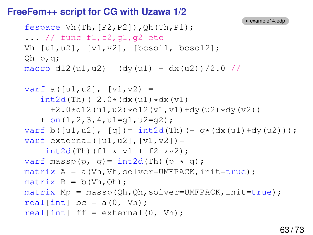#### **FreeFem++ script for CG with Uzawa 1/2**

```
example14.edp
fespace Vh(Th,[P2,P2]), Qh(Th,P1);
\ldots // func f1, f2, q1, q2 etc
Vh [u1,u2], [v1,v2], [bcsol1, bcsol2];
Qh p,q;
macro d12(u1,u2) (dy(u1) + dx(u2))/2.0 //
varf a([u1, u2], [v1, v2) =int2d(Th) ( 2.0*(dx(u1)*dx(v1))+2.0*d12(u1, u2)*d12(v1, v1)+dy(u2)*dy(v2)+ on(1,2,3,4,u1=g1,u2=g2);
varf b([u1, u2], [q]) = int2d(Th) (- q*(dx(u1)+dy(u2)));
varf external([u1, u2], [v1, v2]) =
    int2d(Th) (f1 \star v1 + f2 \starv2);
varf massp(p, q) = int2d(Th)(p \star q);
matrix A = a(Vh, Vh, solver=UMFPACK, init=true);matrix B = b(Vh, Qh);matrix Mp = massp(Qh,Qh,solver=UMFPACK,init=true);
real[int] bc = a(0, Vh);real[int] ff = external(0, Wh);
```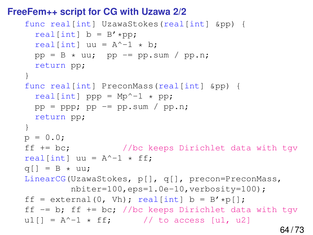## **FreeFem++ script for CG with Uzawa 2/2**

```
func real[int] UzawaStokes(real[int] &pp) {
  real[int] b = B' * pp;
  real [int] uu = A^{\wedge} - 1 * b;
  pp = B * uu; pp == pp.sum / pp.n;return pp;
}
func real[int] PreconMass(real[int] &pp) {
  real[int] ppp = Mp^{\wedge} - 1 \times pp;
  pp = ppp; pp = pp \text{.sum} / pp \text{.n};
  return pp;
}
p = 0.0;ff += bc; //bc keeps Dirichlet data with tgv
real[int] uu = A^{\wedge}-1 * ff;
q[] = B \star uu;LinearCG(UzawaStokes, p[], q[], precon=PreconMass,
          nbiter=100,eps=1.0e-10,verbosity=100);
ff = external(0, Vh); real[int] b = B'*p[;
ff -= b; ff += bc; //bc keeps Dirichlet data with tqv
u1[] = A^-1 \star ff; // to access [u1, u2]
```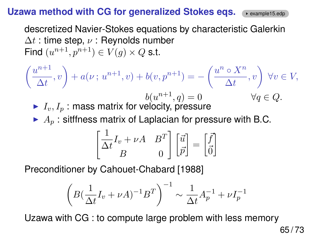# Uzawa method with CG for generalized Stokes eqs. (\*example15.edp

descretized Navier-Stokes equations by characteristic Galerkin  $\Delta t$  : time step,  $\nu$  : Reynolds number Find  $(u^{n+1}, p^{n+1}) \in V(g) \times Q$  s.t.

$$
\left(\frac{u^{n+1}}{\Delta t}, v\right) + a(\nu; u^{n+1}, v) + b(v, p^{n+1}) = -\left(\frac{u^n \circ X^n}{\Delta t}, v\right) \forall v \in V,
$$
\n
$$
\triangleright I_v, I_p : \text{mass matrix for velocity, pressure}
$$
\n
$$
\triangleright A_p : \text{siffness matrix of Laplacian for pressure with B.C.}
$$
\n
$$
\left[\frac{1}{\Delta t}I_v + \nu A \quad B^T\right] \left[\frac{\vec{u}}{\vec{p}}\right] = \left[\frac{\vec{f}}{\vec{0}}\right]
$$

Preconditioner by Cahouet-Chabard [1988]

$$
\left(B(\frac{1}{\Delta t}I_v + \nu A)^{-1}B^T\right)^{-1} \sim \frac{1}{\Delta t}A_p^{-1} + \nu I_p^{-1}
$$

Uzawa with CG : to compute large problem with less memory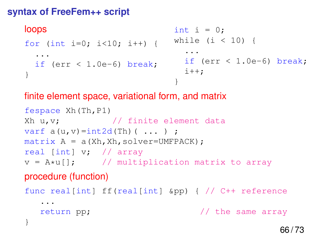# **syntax of FreeFem++ script**

```
loops
for (int i=0; i<10; i++) {
  ...
  if (err < 1.0e-6) break;
}
                                int i = 0;
                               while (i < 10) {
                                  ...
                                  if (err < 1.0e-6) break;
                                  i++;
                                }
```
# finite element space, variational form, and matrix

```
fespace Xh(Th,P1)
Xh u, v; \frac{1}{\sqrt{2}} finite element data
varf a(u, v) = int2d(Th) ( ... ) ;
matrix A = a(Xh,Xh,solver=UMFPACK);real [int] v; // array
v = A * u[]; // multiplication matrix to array
```
# procedure (function)

```
func real[int] ff(real[int] &pp) { // C++ reference
  ...
  return pp; \frac{1}{1} the same array
}
```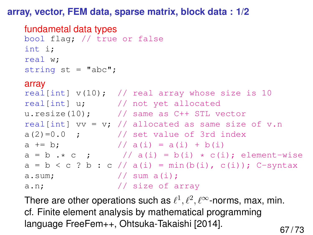#### **array, vector, FEM data, sparse matrix, block data : 1/2**

#### fundametal data types

```
bool flag; // true or false
int i;
real w;
string st = "abc";
```
#### array

```
real[int] v(10); // real array whose size is 10
real[int] u; // not yet allocated
u.resize(10); // same as C++ STL vector
real[int] vv = v; // allocated as same size of v.n
a(2)=0.0 ; // set value of 3rd indexa += b; // a(i) = a(i) + b(i)a = b \cdot * c ; // a(i) = b(i) * c(i); element-wise
a = b < c ? b : c // a(i) = min(b(i), c(i)); C-syntax
a.sum; // sum a(i);a.n; \frac{1}{1} size of array
```
There are other operations such as  $\ell^1, \ell^2, \ell^\infty$ -norms, max, min. cf. Finite element analysis by mathematical programming language FreeFem++, Ohtsuka-Takaishi [2014].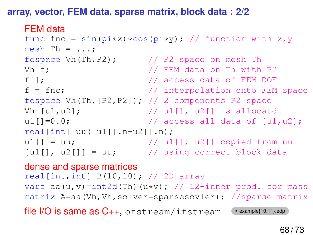**array, vector, FEM data, sparse matrix, block data : 2/2**

#### FEM data

```
func fnc = sin(pi*x)*cos(pi*y); // function with x, ymesh Th = \dots;fespace Vh(Th, P2); \frac{1}{2} // P2 space on mesh Th
Vh f; \frac{1}{2} // FEM data on Th with P2
f[]; \sqrt{2} // access data of FEM DOF
f = fnc; // interpolation onto FEM space
fespace Vh(Th, [P2, P2]); // 2 components P2 space
Vh [u1, u2]; \qquad \qquad \qquad \qquad // u1[], u2[] is allocatd
u1[]=0.0; \frac{1}{\sqrt{2}} access all data of [u1, u2];
real[int] uu([u1[]..n+u2[]..n);u1[] = uu; // u1[], u2[] copied from uu
[u1[], u2[]] = uu; // using correct block data
```
# dense and sparse matrices real[int,int]  $B(10,10)$ ; // 2D array varf aa(u,v)=int2d(Th)(u\*v); // L2-inner prod. for mass matrix A=aa(Vh,Vh,solver=sparsesovler); //sparse matrix file  $I/O$  is same as  $C_{++}$ , of stream/ifstream  $\leftrightarrow$  example{10,11}.edp

68 / 73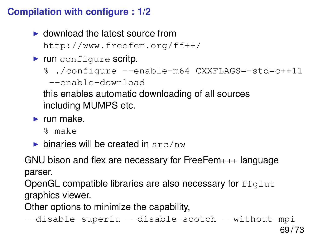# **Compilation with configure : 1/2**

 $\blacktriangleright$  download the latest source from

http://www.freefem.org/ff++/

 $\blacktriangleright$  run configure scritp.

```
% ./configure --enable-m64 CXXFLAGS=-std=c++11
```
--enable-download

this enables automatic downloading of all sources including MUMPS etc.

 $\blacktriangleright$  run make.

% make

 $\triangleright$  binaries will be created in src/nw

GNU bison and flex are necessary for FreeFem+++ language parser.

OpenGL compatible libraries are also necessary for  $ffql$ ut graphics viewer.

Other options to minimize the capability,

```
--disable-superlu --disable-scotch --without-mpi
```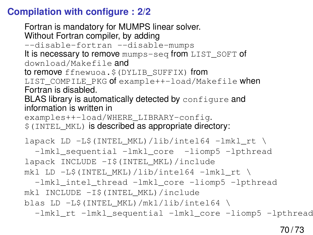# **Compilation with configure : 2/2**

Fortran is mandatory for MUMPS linear solver. Without Fortran compiler, by adding --disable-fortran --disable-mumps It is necessary to remove mumps-seq from LIST\_SOFT of download/Makefile and to remove ffnewuoa.\$(DYLIB\_SUFFIX) from LIST\_COMPILE\_PKG of example++-load/Makefile when Fortran is disabled. BLAS library is automatically detected by configure and information is written in examples++-load/WHERE\_LIBRARY-config.  $$$  (INTEL MKL) is described as appropriate directory: lapack LD  $-L$ \$(INTEL MKL)/lib/intel64 -lmkl rt \ -lmkl\_sequential -lmkl\_core -liomp5 -lpthread lapack INCLUDE -I\$(INTEL\_MKL)/include mkl LD  $-L$$ (INTEL MKL)/lib/intel64 -lmkl rt \ -lmkl\_intel\_thread -lmkl\_core -liomp5 -lpthread mkl INCLUDE -I\$(INTEL\_MKL)/include blas LD -L\$(INTEL\_MKL)/mkl/lib/intel64 \ -lmkl\_rt -lmkl\_sequential -lmkl\_core -liomp5 -lpthread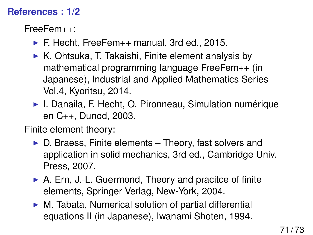## **References : 1/2**

FreeFem++:

- $\blacktriangleright$  F. Hecht, FreeFem $++$  manual, 3rd ed., 2015.
- $\triangleright$  K. Ohtsuka, T. Takaishi, Finite element analysis by mathematical programming language FreeFem++ (in Japanese), Industrial and Applied Mathematics Series Vol.4, Kyoritsu, 2014.
- ▶ I. Danaila, F. Hecht, O. Pironneau, Simulation numérique en C++, Dunod, 2003.

Finite element theory:

- $\triangleright$  D. Braess, Finite elements Theory, fast solvers and application in solid mechanics, 3rd ed., Cambridge Univ. Press, 2007.
- $\triangleright$  A. Ern, J.-L. Guermond, Theory and pracitce of finite elements, Springer Verlag, New-York, 2004.
- $\triangleright$  M. Tabata, Numerical solution of partial differential equations II (in Japanese), Iwanami Shoten, 1994.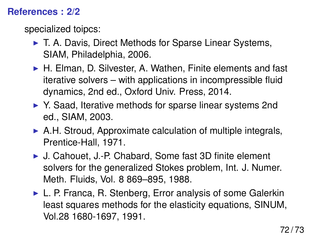## **References : 2/2**

specialized toipcs:

- ▶ T. A. Davis, Direct Methods for Sparse Linear Systems, SIAM, Philadelphia, 2006.
- $\blacktriangleright$  H. Elman, D. Silvester, A. Wathen, Finite elements and fast iterative solvers – with applications in incompressible fluid dynamics, 2nd ed., Oxford Univ. Press, 2014.
- ▶ Y. Saad, Iterative methods for sparse linear systems 2nd ed., SIAM, 2003.
- $\triangleright$  A.H. Stroud, Approximate calculation of multiple integrals, Prentice-Hall, 1971.
- ► J. Cahouet, J.-P. Chabard, Some fast 3D finite element solvers for the generalized Stokes problem, Int. J. Numer. Meth. Fluids, Vol. 8 869–895, 1988.
- $\triangleright$  L. P. Franca, R. Stenberg, Error analysis of some Galerkin least squares methods for the elasticity equations, SINUM, Vol.28 1680-1697, 1991.